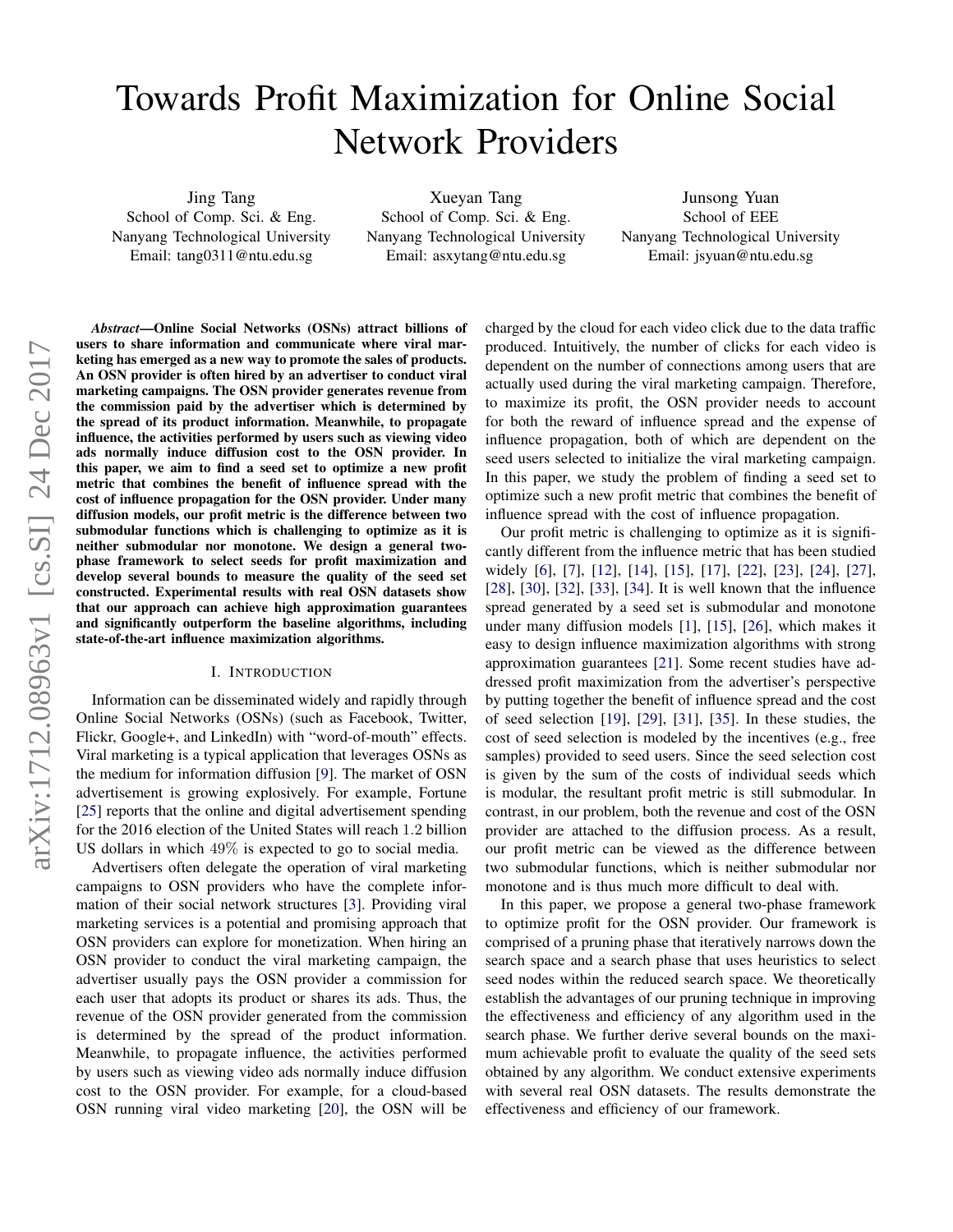# Towards Profit Maximization for Online Social Network Providers

Jing Tang School of Comp. Sci. & Eng. Nanyang Technological University Email: tang0311@ntu.edu.sg

Xueyan Tang School of Comp. Sci. & Eng. Nanyang Technological University Email: asxytang@ntu.edu.sg

Junsong Yuan School of EEE Nanyang Technological University Email: jsyuan@ntu.edu.sg

*Abstract*—Online Social Networks (OSNs) attract billions of users to share information and communicate where viral marketing has emerged as a new way to promote the sales of products. An OSN provider is often hired by an advertiser to conduct viral marketing campaigns. The OSN provider generates revenue from the commission paid by the advertiser which is determined by the spread of its product information. Meanwhile, to propagate influence, the activities performed by users such as viewing video ads normally induce diffusion cost to the OSN provider. In this paper, we aim to find a seed set to optimize a new profit metric that combines the benefit of influence spread with the cost of influence propagation for the OSN provider. Under many diffusion models, our profit metric is the difference between two submodular functions which is challenging to optimize as it is neither submodular nor monotone. We design a general twophase framework to select seeds for profit maximization and develop several bounds to measure the quality of the seed set constructed. Experimental results with real OSN datasets show that our approach can achieve high approximation guarantees and significantly outperform the baseline algorithms, including state-of-the-art influence maximization algorithms.

## I. INTRODUCTION

Information can be disseminated widely and rapidly through Online Social Networks (OSNs) (such as Facebook, Twitter, Flickr, Google+, and LinkedIn) with "word-of-mouth" effects. Viral marketing is a typical application that leverages OSNs as the medium for information diffusion [\[9\]](#page-8-0). The market of OSN advertisement is growing explosively. For example, Fortune [\[25\]](#page-8-1) reports that the online and digital advertisement spending for the 2016 election of the United States will reach 1.2 billion US dollars in which 49% is expected to go to social media.

Advertisers often delegate the operation of viral marketing campaigns to OSN providers who have the complete information of their social network structures [\[3\]](#page-8-2). Providing viral marketing services is a potential and promising approach that OSN providers can explore for monetization. When hiring an OSN provider to conduct the viral marketing campaign, the advertiser usually pays the OSN provider a commission for each user that adopts its product or shares its ads. Thus, the revenue of the OSN provider generated from the commission is determined by the spread of the product information. Meanwhile, to propagate influence, the activities performed by users such as viewing video ads normally induce diffusion cost to the OSN provider. For example, for a cloud-based OSN running viral video marketing [\[20\]](#page-8-3), the OSN will be charged by the cloud for each video click due to the data traffic produced. Intuitively, the number of clicks for each video is dependent on the number of connections among users that are actually used during the viral marketing campaign. Therefore, to maximize its profit, the OSN provider needs to account for both the reward of influence spread and the expense of influence propagation, both of which are dependent on the seed users selected to initialize the viral marketing campaign. In this paper, we study the problem of finding a seed set to optimize such a new profit metric that combines the benefit of influence spread with the cost of influence propagation.

Our profit metric is challenging to optimize as it is significantly different from the influence metric that has been studied widely [\[6\]](#page-8-4), [\[7\]](#page-8-5), [\[12\]](#page-8-6), [\[14\]](#page-8-7), [\[15\]](#page-8-8), [\[17\]](#page-8-9), [\[22\]](#page-8-10), [\[23\]](#page-8-11), [\[24\]](#page-8-12), [\[27\]](#page-8-13), [\[28\]](#page-8-14), [\[30\]](#page-8-15), [\[32\]](#page-8-16), [\[33\]](#page-8-17), [\[34\]](#page-8-18). It is well known that the influence spread generated by a seed set is submodular and monotone under many diffusion models [\[1\]](#page-8-19), [\[15\]](#page-8-8), [\[26\]](#page-8-20), which makes it easy to design influence maximization algorithms with strong approximation guarantees [\[21\]](#page-8-21). Some recent studies have addressed profit maximization from the advertiser's perspective by putting together the benefit of influence spread and the cost of seed selection [\[19\]](#page-8-22), [\[29\]](#page-8-23), [\[31\]](#page-8-24), [\[35\]](#page-8-25). In these studies, the cost of seed selection is modeled by the incentives (e.g., free samples) provided to seed users. Since the seed selection cost is given by the sum of the costs of individual seeds which is modular, the resultant profit metric is still submodular. In contrast, in our problem, both the revenue and cost of the OSN provider are attached to the diffusion process. As a result, our profit metric can be viewed as the difference between two submodular functions, which is neither submodular nor monotone and is thus much more difficult to deal with.

In this paper, we propose a general two-phase framework to optimize profit for the OSN provider. Our framework is comprised of a pruning phase that iteratively narrows down the search space and a search phase that uses heuristics to select seed nodes within the reduced search space. We theoretically establish the advantages of our pruning technique in improving the effectiveness and efficiency of any algorithm used in the search phase. We further derive several bounds on the maximum achievable profit to evaluate the quality of the seed sets obtained by any algorithm. We conduct extensive experiments with several real OSN datasets. The results demonstrate the effectiveness and efficiency of our framework.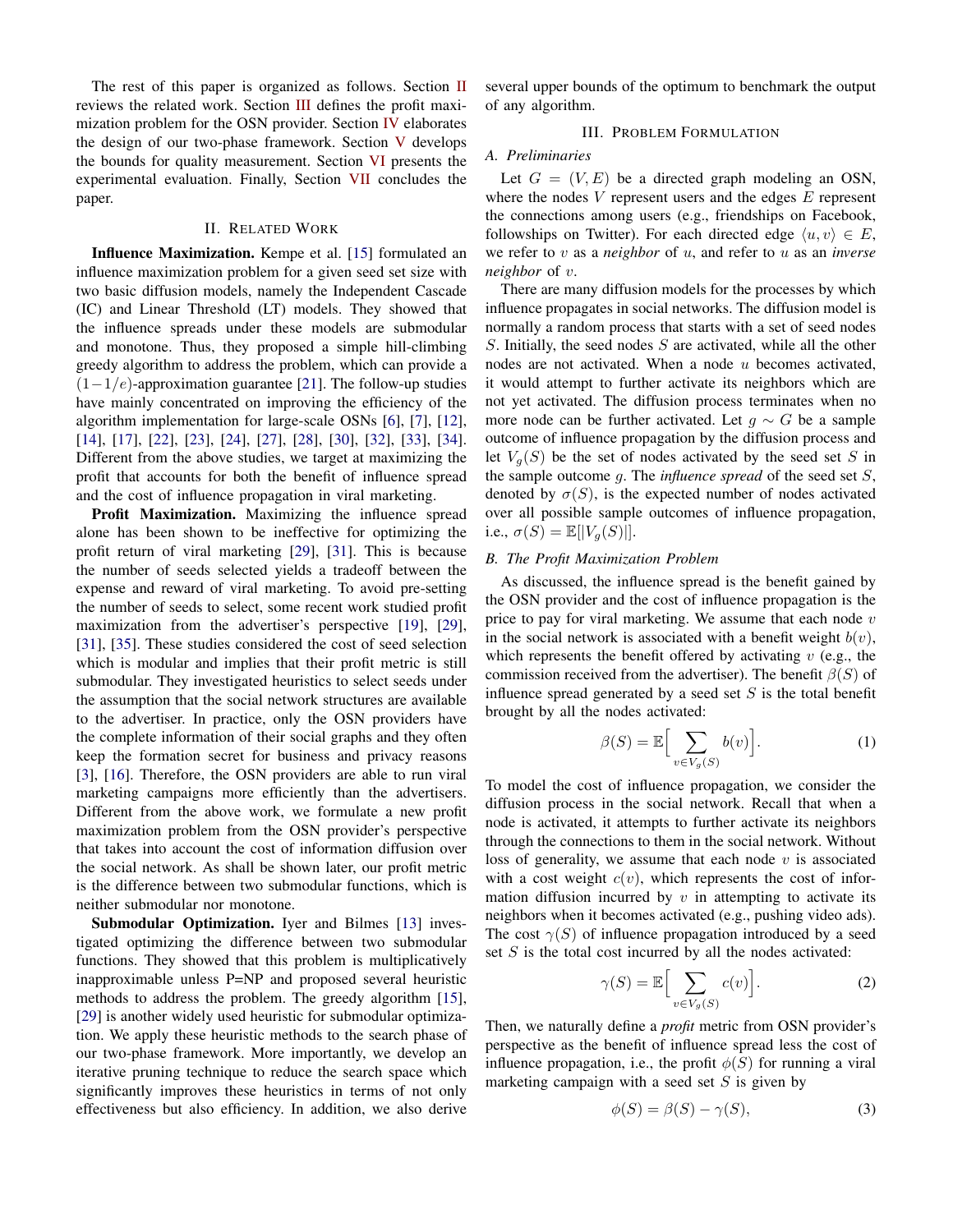The rest of this paper is organized as follows. Section [II](#page-1-0) reviews the related work. Section [III](#page-1-1) defines the profit maximization problem for the OSN provider. Section [IV](#page-2-0) elaborates the design of our two-phase framework. Section [V](#page-4-0) develops the bounds for quality measurement. Section [VI](#page-6-0) presents the experimental evaluation. Finally, Section [VII](#page-8-26) concludes the paper.

## II. RELATED WORK

<span id="page-1-0"></span>Influence Maximization. Kempe et al. [\[15\]](#page-8-8) formulated an influence maximization problem for a given seed set size with two basic diffusion models, namely the Independent Cascade (IC) and Linear Threshold (LT) models. They showed that the influence spreads under these models are submodular and monotone. Thus, they proposed a simple hill-climbing greedy algorithm to address the problem, which can provide a  $(1-1/e)$ -approximation guarantee [\[21\]](#page-8-21). The follow-up studies have mainly concentrated on improving the efficiency of the algorithm implementation for large-scale OSNs [\[6\]](#page-8-4), [\[7\]](#page-8-5), [\[12\]](#page-8-6), [\[14\]](#page-8-7), [\[17\]](#page-8-9), [\[22\]](#page-8-10), [\[23\]](#page-8-11), [\[24\]](#page-8-12), [\[27\]](#page-8-13), [\[28\]](#page-8-14), [\[30\]](#page-8-15), [\[32\]](#page-8-16), [\[33\]](#page-8-17), [\[34\]](#page-8-18). Different from the above studies, we target at maximizing the profit that accounts for both the benefit of influence spread and the cost of influence propagation in viral marketing.

Profit Maximization. Maximizing the influence spread alone has been shown to be ineffective for optimizing the profit return of viral marketing [\[29\]](#page-8-23), [\[31\]](#page-8-24). This is because the number of seeds selected yields a tradeoff between the expense and reward of viral marketing. To avoid pre-setting the number of seeds to select, some recent work studied profit maximization from the advertiser's perspective [\[19\]](#page-8-22), [\[29\]](#page-8-23), [\[31\]](#page-8-24), [\[35\]](#page-8-25). These studies considered the cost of seed selection which is modular and implies that their profit metric is still submodular. They investigated heuristics to select seeds under the assumption that the social network structures are available to the advertiser. In practice, only the OSN providers have the complete information of their social graphs and they often keep the formation secret for business and privacy reasons [\[3\]](#page-8-2), [\[16\]](#page-8-27). Therefore, the OSN providers are able to run viral marketing campaigns more efficiently than the advertisers. Different from the above work, we formulate a new profit maximization problem from the OSN provider's perspective that takes into account the cost of information diffusion over the social network. As shall be shown later, our profit metric is the difference between two submodular functions, which is neither submodular nor monotone.

Submodular Optimization. Iyer and Bilmes [\[13\]](#page-8-28) investigated optimizing the difference between two submodular functions. They showed that this problem is multiplicatively inapproximable unless P=NP and proposed several heuristic methods to address the problem. The greedy algorithm [\[15\]](#page-8-8), [\[29\]](#page-8-23) is another widely used heuristic for submodular optimization. We apply these heuristic methods to the search phase of our two-phase framework. More importantly, we develop an iterative pruning technique to reduce the search space which significantly improves these heuristics in terms of not only effectiveness but also efficiency. In addition, we also derive several upper bounds of the optimum to benchmark the output of any algorithm.

# III. PROBLEM FORMULATION

# <span id="page-1-1"></span>*A. Preliminaries*

Let  $G = (V, E)$  be a directed graph modeling an OSN, where the nodes  $V$  represent users and the edges  $E$  represent the connections among users (e.g., friendships on Facebook, followships on Twitter). For each directed edge  $\langle u, v \rangle \in E$ , we refer to v as a *neighbor* of u, and refer to u as an *inverse neighbor* of v.

There are many diffusion models for the processes by which influence propagates in social networks. The diffusion model is normally a random process that starts with a set of seed nodes  $S$ . Initially, the seed nodes  $S$  are activated, while all the other nodes are not activated. When a node  $u$  becomes activated, it would attempt to further activate its neighbors which are not yet activated. The diffusion process terminates when no more node can be further activated. Let  $g \sim G$  be a sample outcome of influence propagation by the diffusion process and let  $V_q(S)$  be the set of nodes activated by the seed set S in the sample outcome g. The *influence spread* of the seed set S, denoted by  $\sigma(S)$ , is the expected number of nodes activated over all possible sample outcomes of influence propagation, i.e.,  $\sigma(S) = \mathbb{E}[|V_q(S)|].$ 

## <span id="page-1-3"></span>*B. The Profit Maximization Problem*

As discussed, the influence spread is the benefit gained by the OSN provider and the cost of influence propagation is the price to pay for viral marketing. We assume that each node  $v$ in the social network is associated with a benefit weight  $b(v)$ , which represents the benefit offered by activating  $v$  (e.g., the commission received from the advertiser). The benefit  $\beta(S)$  of influence spread generated by a seed set  $S$  is the total benefit brought by all the nodes activated:

$$
\beta(S) = \mathbb{E}\Big[\sum_{v \in V_g(S)} b(v)\Big].\tag{1}
$$

To model the cost of influence propagation, we consider the diffusion process in the social network. Recall that when a node is activated, it attempts to further activate its neighbors through the connections to them in the social network. Without loss of generality, we assume that each node  $v$  is associated with a cost weight  $c(v)$ , which represents the cost of information diffusion incurred by  $v$  in attempting to activate its neighbors when it becomes activated (e.g., pushing video ads). The cost  $\gamma(S)$  of influence propagation introduced by a seed set  $S$  is the total cost incurred by all the nodes activated:

$$
\gamma(S) = \mathbb{E}\Big[\sum_{v \in V_g(S)} c(v)\Big].\tag{2}
$$

Then, we naturally define a *profit* metric from OSN provider's perspective as the benefit of influence spread less the cost of influence propagation, i.e., the profit  $\phi(S)$  for running a viral marketing campaign with a seed set  $S$  is given by

<span id="page-1-2"></span>
$$
\phi(S) = \beta(S) - \gamma(S),\tag{3}
$$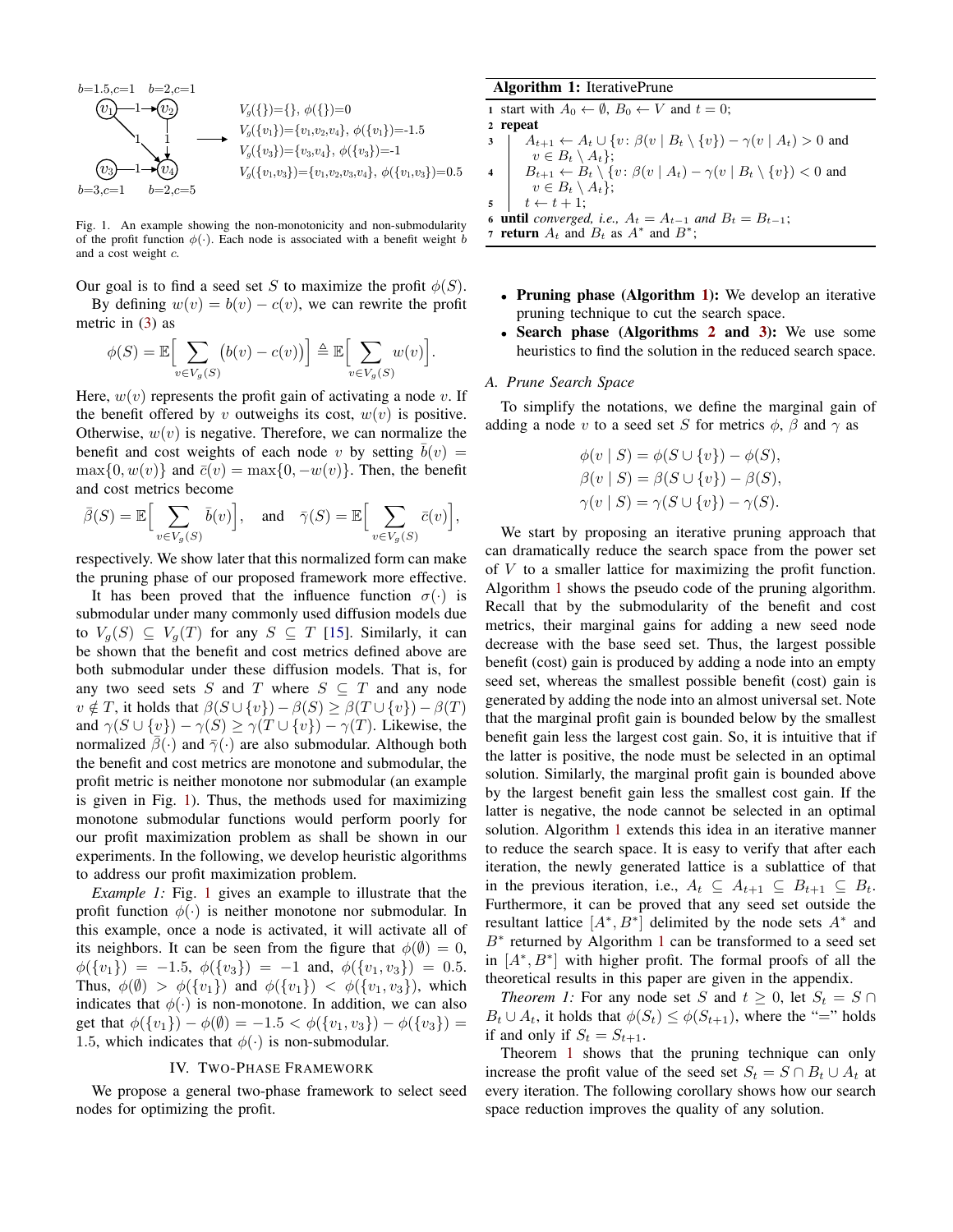<span id="page-2-1"></span>

Fig. 1. An example showing the non-monotonicity and non-submodularity of the profit function  $\phi(\cdot)$ . Each node is associated with a benefit weight b and a cost weight c.

Our goal is to find a seed set S to maximize the profit  $\phi(S)$ . By defining  $w(v) = b(v) - c(v)$ , we can rewrite the profit

metric in [\(3\)](#page-1-2) as

$$
\phi(S) = \mathbb{E}\Big[\sum_{v \in V_g(S)} (b(v) - c(v))\Big] \triangleq \mathbb{E}\Big[\sum_{v \in V_g(S)} w(v)\Big].
$$

Here,  $w(v)$  represents the profit gain of activating a node v. If the benefit offered by v outweighs its cost,  $w(v)$  is positive. Otherwise,  $w(v)$  is negative. Therefore, we can normalize the benefit and cost weights of each node v by setting  $b(v) =$  $\max\{0, w(v)\}\$  and  $\bar{c}(v) = \max\{0, -w(v)\}\$ . Then, the benefit and cost metrics become

$$
\bar{\beta}(S) = \mathbb{E}\Big[\sum_{v \in V_g(S)} \bar{b}(v)\Big], \text{ and } \bar{\gamma}(S) = \mathbb{E}\Big[\sum_{v \in V_g(S)} \bar{c}(v)\Big],
$$

respectively. We show later that this normalized form can make the pruning phase of our proposed framework more effective.

It has been proved that the influence function  $\sigma(\cdot)$  is submodular under many commonly used diffusion models due to  $V_q(S) \subseteq V_q(T)$  for any  $S \subseteq T$  [\[15\]](#page-8-8). Similarly, it can be shown that the benefit and cost metrics defined above are both submodular under these diffusion models. That is, for any two seed sets S and T where  $S \subseteq T$  and any node  $v \notin T$ , it holds that  $\beta(S \cup \{v\}) - \beta(S) \geq \beta(T \cup \{v\}) - \beta(T)$ and  $\gamma(S \cup \{v\}) - \gamma(S) \geq \gamma(T \cup \{v\}) - \gamma(T)$ . Likewise, the normalized  $\bar{\beta}(\cdot)$  and  $\bar{\gamma}(\cdot)$  are also submodular. Although both the benefit and cost metrics are monotone and submodular, the profit metric is neither monotone nor submodular (an example is given in Fig. [1\)](#page-2-1). Thus, the methods used for maximizing monotone submodular functions would perform poorly for our profit maximization problem as shall be shown in our experiments. In the following, we develop heuristic algorithms to address our profit maximization problem.

*Example 1:* Fig. [1](#page-2-1) gives an example to illustrate that the profit function  $\phi(\cdot)$  is neither monotone nor submodular. In this example, once a node is activated, it will activate all of its neighbors. It can be seen from the figure that  $\phi(\emptyset) = 0$ ,  $\phi({v_1}) = -1.5, \phi({v_3}) = -1$  and,  $\phi({v_1, v_3}) = 0.5$ . Thus,  $\phi(\emptyset) > \phi({v_1})$  and  $\phi({v_1}) < \phi({v_1, v_3})$ , which indicates that  $\phi(\cdot)$  is non-monotone. In addition, we can also get that  $\phi({v_1}) - \phi({0}) = -1.5 < \phi({v_1, v_3}) - \phi({v_3}) =$ 1.5, which indicates that  $\phi(\cdot)$  is non-submodular.

## IV. TWO-PHASE FRAMEWORK

<span id="page-2-0"></span>We propose a general two-phase framework to select seed nodes for optimizing the profit.

## Algorithm 1: IterativePrune

<span id="page-2-7"></span><span id="page-2-6"></span><span id="page-2-2"></span>1 start with  $A_0 \leftarrow \emptyset$ ,  $B_0 \leftarrow V$  and  $t = 0$ ; <sup>2</sup> repeat  $3 \mid A_{t+1} \leftarrow A_t \cup \{v : \beta(v \mid B_t \setminus \{v\}) - \gamma(v \mid A_t) > 0 \text{ and }$  $v \in B_t \setminus A_t$ ; 4  $B_{t+1} \leftarrow B_t \setminus \{v : \beta(v \mid A_t) - \gamma(v \mid B_t \setminus \{v\}) < 0 \text{ and }$  $v \in B_t \setminus A_t$ ;  $\begin{aligned} \mathbf{5} \quad | \quad t \leftarrow t + 1; \end{aligned}$ 6 until *converged, i.e.,*  $A_t = A_{t-1}$  *and*  $B_t = B_{t-1}$ ; 7 return  $A_t$  and  $B_t$  as  $A^*$  and  $B^*$ ;

- Pruning phase (Algorithm [1\)](#page-2-2): We develop an iterative pruning technique to cut the search space.
- Search phase (Algorithms [2](#page-3-0) and [3\)](#page-4-1): We use some heuristics to find the solution in the reduced search space.

# <span id="page-2-5"></span>*A. Prune Search Space*

To simplify the notations, we define the marginal gain of adding a node v to a seed set S for metrics  $\phi$ ,  $\beta$  and  $\gamma$  as

$$
\phi(v \mid S) = \phi(S \cup \{v\}) - \phi(S),
$$
  
\n
$$
\beta(v \mid S) = \beta(S \cup \{v\}) - \beta(S),
$$
  
\n
$$
\gamma(v \mid S) = \gamma(S \cup \{v\}) - \gamma(S).
$$

We start by proposing an iterative pruning approach that can dramatically reduce the search space from the power set of V to a smaller lattice for maximizing the profit function. Algorithm [1](#page-2-2) shows the pseudo code of the pruning algorithm. Recall that by the submodularity of the benefit and cost metrics, their marginal gains for adding a new seed node decrease with the base seed set. Thus, the largest possible benefit (cost) gain is produced by adding a node into an empty seed set, whereas the smallest possible benefit (cost) gain is generated by adding the node into an almost universal set. Note that the marginal profit gain is bounded below by the smallest benefit gain less the largest cost gain. So, it is intuitive that if the latter is positive, the node must be selected in an optimal solution. Similarly, the marginal profit gain is bounded above by the largest benefit gain less the smallest cost gain. If the latter is negative, the node cannot be selected in an optimal solution. Algorithm [1](#page-2-2) extends this idea in an iterative manner to reduce the search space. It is easy to verify that after each iteration, the newly generated lattice is a sublattice of that in the previous iteration, i.e.,  $A_t \subseteq A_{t+1} \subseteq B_{t+1} \subseteq B_t$ . Furthermore, it can be proved that any seed set outside the resultant lattice  $[A^*, B^*]$  delimited by the node sets  $A^*$  and B<sup>∗</sup> returned by Algorithm [1](#page-2-2) can be transformed to a seed set in  $[A^*, B^*]$  with higher profit. The formal proofs of all the theoretical results in this paper are given in the appendix.

<span id="page-2-3"></span>*Theorem 1:* For any node set S and  $t \geq 0$ , let  $S_t = S \cap$  $B_t \cup A_t$ , it holds that  $\phi(S_t) \leq \phi(S_{t+1})$ , where the "=" holds if and only if  $S_t = S_{t+1}$ .

<span id="page-2-4"></span>Theorem [1](#page-2-3) shows that the pruning technique can only increase the profit value of the seed set  $S_t = S \cap B_t \cup A_t$  at every iteration. The following corollary shows how our search space reduction improves the quality of any solution.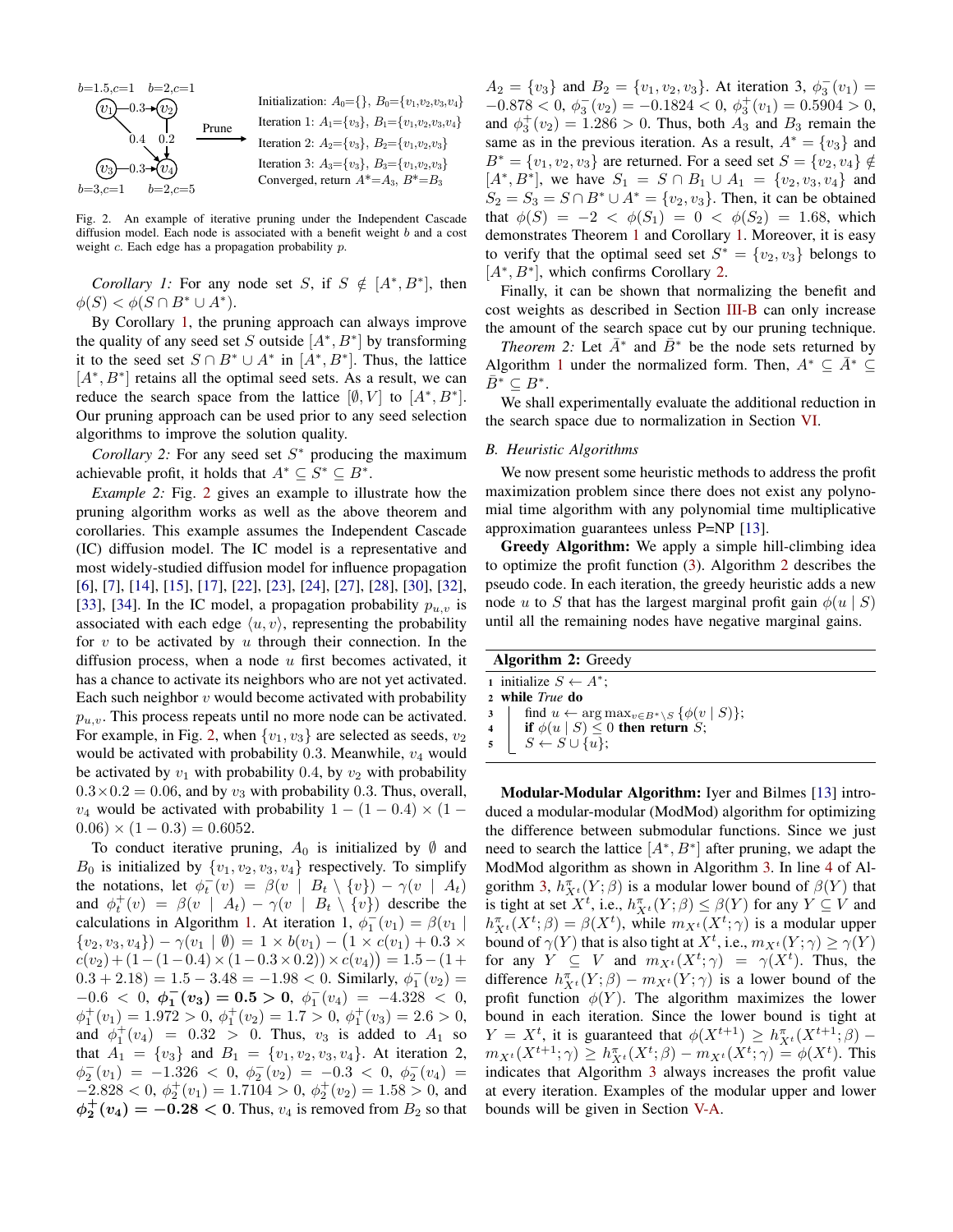<span id="page-3-1"></span>

Fig. 2. An example of iterative pruning under the Independent Cascade diffusion model. Each node is associated with a benefit weight b and a cost weight  $c$ . Each edge has a propagation probability  $p$ .

*Corollary 1:* For any node set S, if  $S \notin [A^*, B^*]$ , then  $\phi(S) < \phi(S \cap B^* \cup A^*).$ 

By Corollary [1,](#page-2-4) the pruning approach can always improve the quality of any seed set S outside  $[A^*, B^*]$  by transforming it to the seed set  $S \cap B^* \cup A^*$  in  $[A^*, B^*]$ . Thus, the lattice [ $A^*$ ,  $B^*$ ] retains all the optimal seed sets. As a result, we can reduce the search space from the lattice  $[\emptyset, V]$  to  $[A^*, B^*]$ . Our pruning approach can be used prior to any seed selection algorithms to improve the solution quality.

*Corollary 2:* For any seed set  $S^*$  producing the maximum achievable profit, it holds that  $A^* \subseteq S^* \subseteq B^*$ .

<span id="page-3-3"></span>*Example 2:* Fig. [2](#page-3-1) gives an example to illustrate how the pruning algorithm works as well as the above theorem and corollaries. This example assumes the Independent Cascade (IC) diffusion model. The IC model is a representative and most widely-studied diffusion model for influence propagation [\[6\]](#page-8-4), [\[7\]](#page-8-5), [\[14\]](#page-8-7), [\[15\]](#page-8-8), [\[17\]](#page-8-9), [\[22\]](#page-8-10), [\[23\]](#page-8-11), [\[24\]](#page-8-12), [\[27\]](#page-8-13), [\[28\]](#page-8-14), [\[30\]](#page-8-15), [\[32\]](#page-8-16), [\[33\]](#page-8-17), [\[34\]](#page-8-18). In the IC model, a propagation probability  $p_{u,v}$  is associated with each edge  $\langle u, v \rangle$ , representing the probability for  $v$  to be activated by  $u$  through their connection. In the diffusion process, when a node  $u$  first becomes activated, it has a chance to activate its neighbors who are not yet activated. Each such neighbor  $v$  would become activated with probability  $p_{u,v}$ . This process repeats until no more node can be activated. For example, in Fig. [2,](#page-3-1) when  $\{v_1, v_3\}$  are selected as seeds,  $v_2$ would be activated with probability 0.3. Meanwhile,  $v_4$  would be activated by  $v_1$  with probability 0.4, by  $v_2$  with probability  $0.3 \times 0.2 = 0.06$ , and by  $v_3$  with probability 0.3. Thus, overall,  $v_4$  would be activated with probability  $1 - (1 - 0.4) \times (1 (0.06) \times (1 - 0.3) = 0.6052$ .

To conduct iterative pruning,  $A_0$  is initialized by  $\emptyset$  and  $B_0$  is initialized by  $\{v_1, v_2, v_3, v_4\}$  respectively. To simplify the notations, let  $\phi_t^-(v) = \beta(v \mid B_t \setminus \{v\}) - \gamma(v \mid A_t)$ and  $\phi_t^+(v) = \beta(v \mid A_t) - \gamma(v \mid B_t \setminus \{v\})$  describe the calculations in Algorithm [1.](#page-2-2) At iteration 1,  $\phi_1^-(v_1) = \beta(v_1)$  $\{v_2, v_3, v_4\}$   $- \gamma(v_1 \mid \emptyset) = 1 \times b(v_1) - (1 \times c(v_1) + 0.3 \times c(v_2))$  $c(v_2) + (1 - (1 - 0.4) \times (1 - 0.3 \times 0.2)) \times c(v_4) = 1.5 - (1 +$  $(0.3 + 2.18) = 1.5 - 3.48 = -1.98 < 0$ . Similarly,  $\phi_1^-(v_2) =$  $-0.6 < 0, \ \phi_1^-(v_3) = 0.5 > 0, \ \phi_1^-(v_4) = -4.328 < 0,$  $\phi_1^+(v_1) = 1.972 > 0, \ \phi_1^+(v_2) = 1.7 > 0, \ \phi_1^+(v_3) = 2.6 > 0,$ and  $\phi_1^+(v_4) = 0.32 > 0$ . Thus,  $v_3$  is added to  $A_1$  so that  $A_1 = \{v_3\}$  and  $B_1 = \{v_1, v_2, v_3, v_4\}$ . At iteration 2,  $\phi_2^-(v_1) = -1.326 < 0, \ \phi_2^-(v_2) = -0.3 < 0, \ \phi_2^-(v_4) =$  $-2.828 < 0, \phi_2^+(v_1) = 1.7104 > 0, \phi_2^+(v_2) = 1.58 > 0$ , and  $\phi_2^+(v_4) = -0.28 < 0$ . Thus,  $v_4$  is removed from  $B_2$  so that

 $A_2 = \{v_3\}$  and  $B_2 = \{v_1, v_2, v_3\}$ . At iteration 3,  $\phi_3^-(v_1) =$  $-0.878 < 0, \ \phi_3^-(v_2) = -0.1824 < 0, \ \phi_3^+(v_1) = 0.5904 > 0,$ and  $\phi_3^+(v_2) = 1.286 > 0$ . Thus, both  $A_3$  and  $B_3$  remain the same as in the previous iteration. As a result,  $A^* = \{v_3\}$  and  $B^* = \{v_1, v_2, v_3\}$  are returned. For a seed set  $S = \{v_2, v_4\} \notin$  $[A^*, B^*]$ , we have  $S_1 = S \cap B_1 \cup A_1 = \{v_2, v_3, v_4\}$  and  $S_2 = S_3 = S \cap B^* \cup A^* = \{v_2, v_3\}.$  Then, it can be obtained that  $\phi(S) = -2 < \phi(S_1) = 0 < \phi(S_2) = 1.68$ , which demonstrates Theorem [1](#page-2-3) and Corollary [1.](#page-2-4) Moreover, it is easy to verify that the optimal seed set  $S^* = \{v_2, v_3\}$  belongs to [ $A^*$ ,  $B^*$ ], which confirms Corollary [2.](#page-3-2)

Finally, it can be shown that normalizing the benefit and cost weights as described in Section [III-B](#page-1-3) can only increase the amount of the search space cut by our pruning technique.

<span id="page-3-4"></span>*Theorem 2:* Let  $\bar{A}^*$  and  $\bar{B}^*$  be the node sets returned by Algorithm [1](#page-2-2) under the normalized form. Then,  $A^* \subseteq A^* \subseteq$  $\overline{B}^* \subseteq B^*.$ 

We shall experimentally evaluate the additional reduction in the search space due to normalization in Section [VI.](#page-6-0)

# <span id="page-3-2"></span>*B. Heuristic Algorithms*

We now present some heuristic methods to address the profit maximization problem since there does not exist any polynomial time algorithm with any polynomial time multiplicative approximation guarantees unless P=NP [\[13\]](#page-8-28).

Greedy Algorithm: We apply a simple hill-climbing idea to optimize the profit function [\(3\)](#page-1-2). Algorithm [2](#page-3-0) describes the pseudo code. In each iteration, the greedy heuristic adds a new node u to S that has the largest marginal profit gain  $\phi(u \mid S)$ until all the remaining nodes have negative marginal gains.

<span id="page-3-0"></span>

| <b>Algorithm 2: Greedy</b> |                                                                                 |  |  |  |  |
|----------------------------|---------------------------------------------------------------------------------|--|--|--|--|
|                            | 1 initialize $S \leftarrow A^*$ ;                                               |  |  |  |  |
|                            | 2 while True do                                                                 |  |  |  |  |
|                            | 3   find $u \leftarrow \arg \max_{v \in B^* \setminus S} {\{\phi(v \mid S)\}};$ |  |  |  |  |
|                            | 4 if $\phi(u \mid S) \leq 0$ then return S;                                     |  |  |  |  |
|                            | $\mathfrak{s}$ $S \leftarrow S \cup \{\overline{u}\};$                          |  |  |  |  |

Modular-Modular Algorithm: Iyer and Bilmes [\[13\]](#page-8-28) introduced a modular-modular (ModMod) algorithm for optimizing the difference between submodular functions. Since we just need to search the lattice  $[A^*, B^*]$  after pruning, we adapt the ModMod algorithm as shown in Algorithm [3.](#page-4-1) In line [4](#page-4-2) of Al-gorithm [3,](#page-4-1)  $h_{X^t}^{\pi}(Y;\beta)$  is a modular lower bound of  $\beta(Y)$  that is tight at set  $X^t$ , i.e.,  $h_{X^t}^{\pi}(Y;\beta) \leq \beta(Y)$  for any  $Y \subseteq V$  and  $h_{X^t}^{\pi}(X^t; \beta) = \beta(X^t)$ , while  $m_{X^t}(X^t; \gamma)$  is a modular upper bound of  $\gamma(Y)$  that is also tight at  $X^t$ , i.e.,  $m_{X^t}(Y; \gamma) \ge \gamma(Y)$ for any  $Y \subseteq V$  and  $m_{X^t}(X^t; \gamma) = \gamma(X^t)$ . Thus, the difference  $h_{X^t}^{\pi}(Y;\beta) - m_{X^t}(Y;\gamma)$  is a lower bound of the profit function  $\phi(Y)$ . The algorithm maximizes the lower bound in each iteration. Since the lower bound is tight at  $Y = X^t$ , it is guaranteed that  $\phi(X^{t+1}) \geq h_{X^t}^{\pi}(X^{t+1}; \beta)$  $m_{X^t}(X^{t+1}; \gamma) \ge h_{X^t}^{\pi}(X^t; \beta) - m_{X^t}(X^t; \gamma) = \phi(X^t)$ . This indicates that Algorithm [3](#page-4-1) always increases the profit value at every iteration. Examples of the modular upper and lower bounds will be given in Section [V-A.](#page-4-3)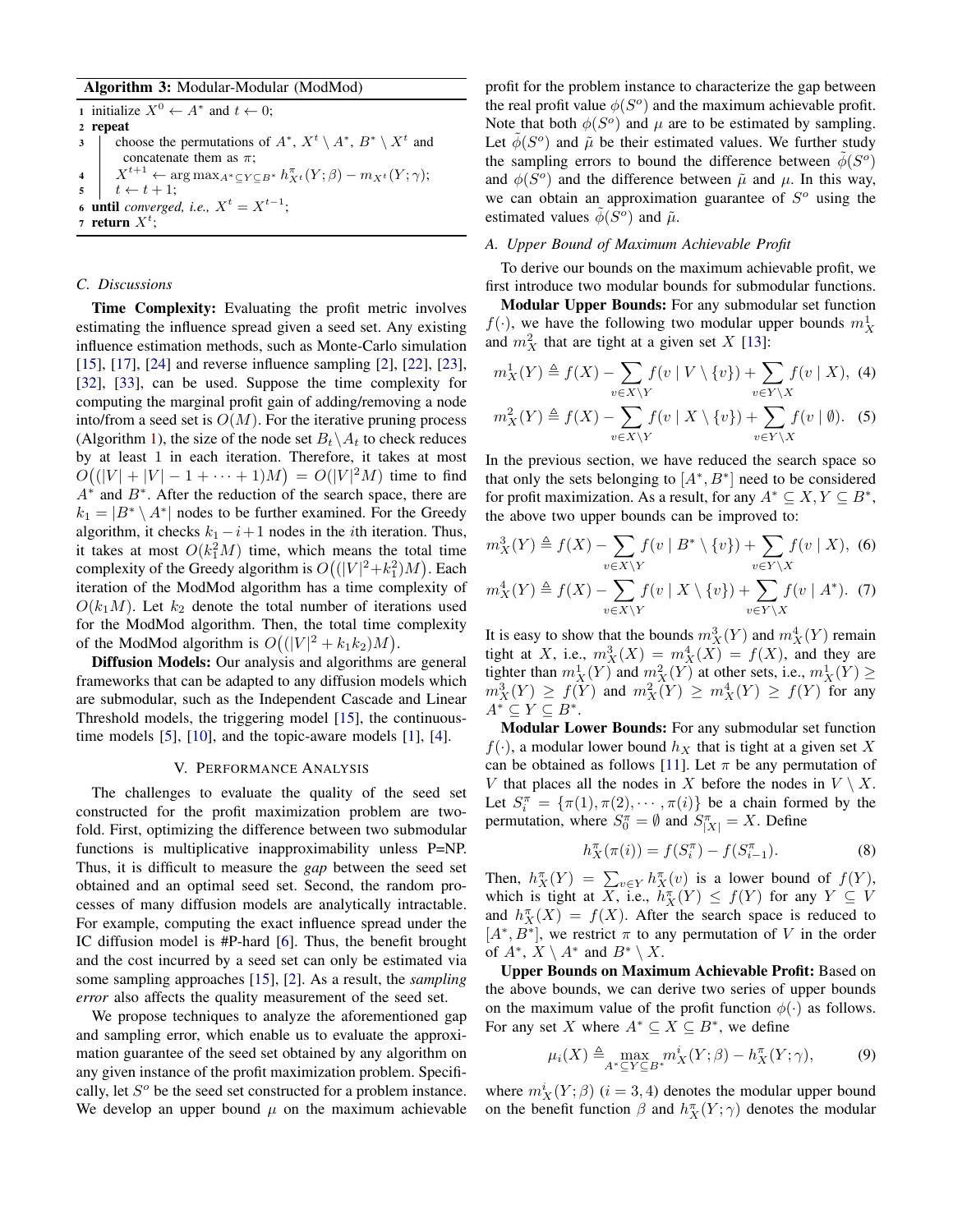# Algorithm 3: Modular-Modular (ModMod)

<span id="page-4-2"></span><span id="page-4-1"></span>1 initialize  $X^0 \leftarrow A^*$  and  $t \leftarrow 0$ ; <sup>2</sup> repeat 3 choose the permutations of  $A^*$ ,  $X^t \setminus A^*$ ,  $B^* \setminus X^t$  and concatenate them as  $\pi$ ; 4  $X^{t+1} \leftarrow \arg \max_{A^* \subseteq Y \subseteq B^*} h_{X^t}^{\pi}(Y; \beta) - m_{X^t}(Y; \gamma);$  $5 \mid t \leftarrow t + 1;$ 6 **until** *converged, i.e.,*  $X^t = X^{t-1}$ ; 7 return  $X^t$ ;

# *C. Discussions*

Time Complexity: Evaluating the profit metric involves estimating the influence spread given a seed set. Any existing influence estimation methods, such as Monte-Carlo simulation [\[15\]](#page-8-8), [\[17\]](#page-8-9), [\[24\]](#page-8-12) and reverse influence sampling [\[2\]](#page-8-29), [\[22\]](#page-8-10), [\[23\]](#page-8-11), [\[32\]](#page-8-16), [\[33\]](#page-8-17), can be used. Suppose the time complexity for computing the marginal profit gain of adding/removing a node into/from a seed set is  $O(M)$ . For the iterative pruning process (Algorithm [1\)](#page-2-2), the size of the node set  $B_t\setminus A_t$  to check reduces by at least 1 in each iteration. Therefore, it takes at most  $O((|V| + |V| - 1 + \cdots + 1)M) = O(|V|^2 M)$  time to find  $A^*$  and  $B^*$ . After the reduction of the search space, there are  $k_1 = |B^* \setminus A^*|$  nodes to be further examined. For the Greedy algorithm, it checks  $k_1 - i + 1$  nodes in the *i*th iteration. Thus, it takes at most  $O(k_1^2M)$  time, which means the total time complexity of the Greedy algorithm is  $O((|V|^2 + k_1^2)M)$ . Each iteration of the ModMod algorithm has a time complexity of  $O(k_1M)$ . Let  $k_2$  denote the total number of iterations used for the ModMod algorithm. Then, the total time complexity of the ModMod algorithm is  $O((|V|^2 + k_1k_2)M)$ .

Diffusion Models: Our analysis and algorithms are general frameworks that can be adapted to any diffusion models which are submodular, such as the Independent Cascade and Linear Threshold models, the triggering model [\[15\]](#page-8-8), the continuoustime models [\[5\]](#page-8-30), [\[10\]](#page-8-31), and the topic-aware models [\[1\]](#page-8-19), [\[4\]](#page-8-32).

## V. PERFORMANCE ANALYSIS

<span id="page-4-0"></span>The challenges to evaluate the quality of the seed set constructed for the profit maximization problem are twofold. First, optimizing the difference between two submodular functions is multiplicative inapproximability unless P=NP. Thus, it is difficult to measure the *gap* between the seed set obtained and an optimal seed set. Second, the random processes of many diffusion models are analytically intractable. For example, computing the exact influence spread under the IC diffusion model is #P-hard [\[6\]](#page-8-4). Thus, the benefit brought and the cost incurred by a seed set can only be estimated via some sampling approaches [\[15\]](#page-8-8), [\[2\]](#page-8-29). As a result, the *sampling error* also affects the quality measurement of the seed set.

We propose techniques to analyze the aforementioned gap and sampling error, which enable us to evaluate the approximation guarantee of the seed set obtained by any algorithm on any given instance of the profit maximization problem. Specifically, let  $S<sup>o</sup>$  be the seed set constructed for a problem instance. We develop an upper bound  $\mu$  on the maximum achievable profit for the problem instance to characterize the gap between the real profit value  $\phi(S^o)$  and the maximum achievable profit. Note that both  $\phi(S^o)$  and  $\mu$  are to be estimated by sampling. Let  $\tilde{\phi}(S^{\circ})$  and  $\tilde{\mu}$  be their estimated values. We further study the sampling errors to bound the difference between  $\tilde{\phi}(S^{\circ})$ and  $\phi(S^{\circ})$  and the difference between  $\tilde{\mu}$  and  $\mu$ . In this way, we can obtain an approximation guarantee of  $S<sup>o</sup>$  using the estimated values  $\tilde{\phi}(S^{\circ})$  and  $\tilde{\mu}$ .

## <span id="page-4-3"></span>*A. Upper Bound of Maximum Achievable Profit*

To derive our bounds on the maximum achievable profit, we first introduce two modular bounds for submodular functions.

Modular Upper Bounds: For any submodular set function  $f(\cdot)$ , we have the following two modular upper bounds  $m_X^1$ and  $m_X^2$  that are tight at a given set X [\[13\]](#page-8-28):

$$
m_X^1(Y) \triangleq f(X) - \sum_{v \in X \setminus Y} f(v \mid V \setminus \{v\}) + \sum_{v \in Y \setminus X} f(v \mid X), \tag{4}
$$

$$
m_X^2(Y) \triangleq f(X) - \sum_{v \in X \setminus Y} f(v \mid X \setminus \{v\}) + \sum_{v \in Y \setminus X} f(v \mid \emptyset). \tag{5}
$$

In the previous section, we have reduced the search space so that only the sets belonging to  $[A^*, B^*]$  need to be considered for profit maximization. As a result, for any  $A^* \subseteq X, Y \subseteq B^*$ , the above two upper bounds can be improved to:

<span id="page-4-4"></span>
$$
m_X^3(Y) \triangleq f(X) - \sum_{v \in X \setminus Y} f(v \mid B^* \setminus \{v\}) + \sum_{v \in Y \setminus X} f(v \mid X), \tag{6}
$$

<span id="page-4-5"></span>
$$
m_X^4(Y) \triangleq f(X) - \sum_{v \in X \setminus Y} f(v \mid X \setminus \{v\}) + \sum_{v \in Y \setminus X} f(v \mid A^*). \tag{7}
$$

It is easy to show that the bounds  $m_X^3(Y)$  and  $m_X^4(Y)$  remain tight at X, i.e.,  $m_X^3(X) = m_X^4(X) = f(X)$ , and they are tighter than  $m_X^1(Y)$  and  $m_X^2(Y)$  at other sets, i.e.,  $m_X^1(Y) \ge$  $m_X^3(Y) \ge f(Y)$  and  $m_X^2(Y) \ge m_X^4(Y) \ge f(Y)$  for any  $A^* \subseteq Y \subseteq B^*$ .

Modular Lower Bounds: For any submodular set function  $f(\cdot)$ , a modular lower bound  $h_X$  that is tight at a given set X can be obtained as follows [\[11\]](#page-8-33). Let  $\pi$  be any permutation of V that places all the nodes in X before the nodes in  $V \setminus X$ . Let  $S_i^{\pi} = {\pi(1), \pi(2), \cdots, \pi(i)}$  be a chain formed by the permutation, where  $S_0^{\pi} = \emptyset$  and  $S_{|X|}^{\pi} = X$ . Define

$$
h_X^{\pi}(\pi(i)) = f(S_i^{\pi}) - f(S_{i-1}^{\pi}).
$$
\n(8)

Then,  $h_X^{\pi}(Y) = \sum_{v \in Y} h_X^{\pi}(v)$  is a lower bound of  $f(Y)$ , which is tight at X, i.e.,  $h_X^{\pi}(Y) \leq f(Y)$  for any  $Y \subseteq V$ and  $h_X^{\pi}(X) = f(X)$ . After the search space is reduced to  $[A^*, B^*]$ , we restrict  $\pi$  to any permutation of V in the order of  $A^*$ ,  $X \setminus A^*$  and  $B^* \setminus X$ .

Upper Bounds on Maximum Achievable Profit: Based on the above bounds, we can derive two series of upper bounds on the maximum value of the profit function  $\phi(\cdot)$  as follows. For any set X where  $A^* \subseteq X \subseteq B^*$ , we define

<span id="page-4-6"></span>
$$
\mu_i(X) \triangleq \max_{A^* \subseteq Y \subseteq B^*} m_X^i(Y; \beta) - h_X^{\pi}(Y; \gamma), \tag{9}
$$

where  $m_X^i(Y;\beta)$   $(i=3,4)$  denotes the modular upper bound on the benefit function  $\beta$  and  $h_X^{\pi}(Y; \gamma)$  denotes the modular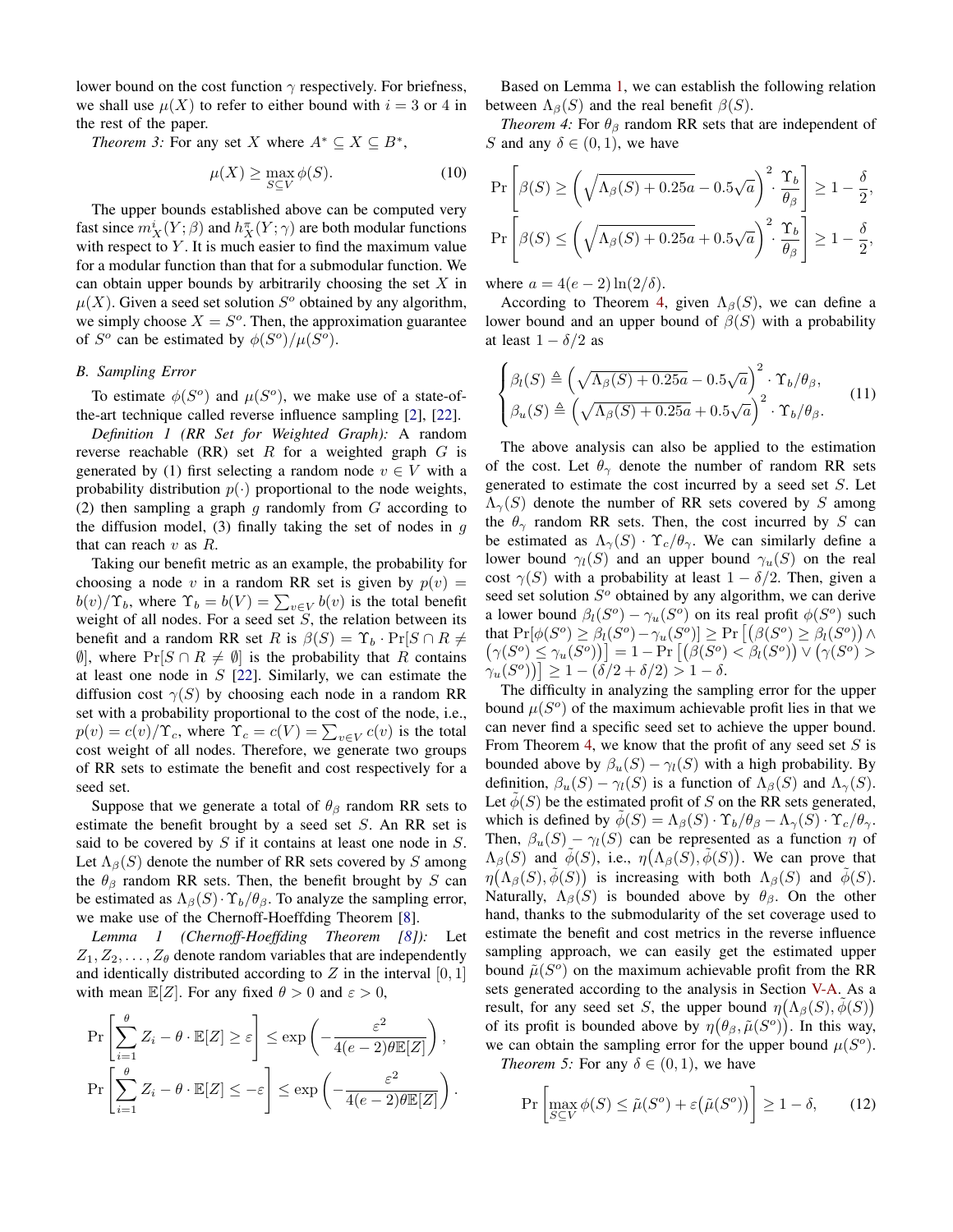lower bound on the cost function  $\gamma$  respectively. For briefness, we shall use  $\mu(X)$  to refer to either bound with  $i = 3$  or 4 in the rest of the paper.

*Theorem 3:* For any set X where  $A^* \subseteq X \subseteq B^*$ ,

<span id="page-5-3"></span>
$$
\mu(X) \ge \max_{S \subseteq V} \phi(S). \tag{10}
$$

The upper bounds established above can be computed very fast since  $m_X^i(Y; \beta)$  and  $h_X^{\pi}(Y; \gamma)$  are both modular functions with respect to  $Y$ . It is much easier to find the maximum value for a modular function than that for a submodular function. We can obtain upper bounds by arbitrarily choosing the set  $X$  in  $\mu(X)$ . Given a seed set solution  $S^{\circ}$  obtained by any algorithm, we simply choose  $X = S<sup>o</sup>$ . Then, the approximation guarantee of  $S^o$  can be estimated by  $\phi(S^o)/\mu(S^o)$ .

#### *B. Sampling Error*

To estimate  $\phi(S^o)$  and  $\mu(S^o)$ , we make use of a state-ofthe-art technique called reverse influence sampling [\[2\]](#page-8-29), [\[22\]](#page-8-10).

*Definition 1 (RR Set for Weighted Graph):* A random reverse reachable (RR) set  $R$  for a weighted graph  $G$  is generated by (1) first selecting a random node  $v \in V$  with a probability distribution  $p(\cdot)$  proportional to the node weights, (2) then sampling a graph g randomly from  $G$  according to the diffusion model,  $(3)$  finally taking the set of nodes in  $g$ that can reach  $v$  as  $R$ .

Taking our benefit metric as an example, the probability for choosing a node v in a random RR set is given by  $p(v) =$  $b(v)/\Upsilon_b$ , where  $\Upsilon_b = b(V) = \sum_{v \in V} b(v)$  is the total benefit weight of all nodes. For a seed set  $S$ , the relation between its benefit and a random RR set R is  $\beta(S) = \Upsilon_b \cdot \Pr[S \cap R \neq \emptyset]$  $\emptyset$ , where  $Pr[S \cap R \neq \emptyset]$  is the probability that R contains at least one node in  $S$  [\[22\]](#page-8-10). Similarly, we can estimate the diffusion cost  $\gamma(S)$  by choosing each node in a random RR set with a probability proportional to the cost of the node, i.e.,  $p(v) = c(v)/\Upsilon_c$ , where  $\Upsilon_c = c(V) = \sum_{v \in V} c(v)$  is the total cost weight of all nodes. Therefore, we generate two groups of RR sets to estimate the benefit and cost respectively for a seed set.

Suppose that we generate a total of  $\theta_\beta$  random RR sets to estimate the benefit brought by a seed set  $S$ . An RR set is said to be covered by  $S$  if it contains at least one node in  $S$ . Let  $\Lambda_{\beta}(S)$  denote the number of RR sets covered by S among the  $\theta_{\beta}$  random RR sets. Then, the benefit brought by S can be estimated as  $\Lambda_{\beta}(S) \cdot \Upsilon_b / \theta_{\beta}$ . To analyze the sampling error, we make use of the Chernoff-Hoeffding Theorem [\[8\]](#page-8-34).

*Lemma 1 (Chernoff-Hoeffding Theorem [\[8\]](#page-8-34)):* Let  $Z_1, Z_2, \ldots, Z_\theta$  denote random variables that are independently and identically distributed according to  $Z$  in the interval  $[0, 1]$ with mean  $\mathbb{E}[Z]$ . For any fixed  $\theta > 0$  and  $\varepsilon > 0$ ,

$$
\Pr\left[\sum_{i=1}^{\theta} Z_i - \theta \cdot \mathbb{E}[Z] \ge \varepsilon\right] \le \exp\left(-\frac{\varepsilon^2}{4(e-2)\theta \mathbb{E}[Z]}\right),
$$
  

$$
\Pr\left[\sum_{i=1}^{\theta} Z_i - \theta \cdot \mathbb{E}[Z] \le -\varepsilon\right] \le \exp\left(-\frac{\varepsilon^2}{4(e-2)\theta \mathbb{E}[Z]}\right).
$$

Based on Lemma [1,](#page-5-0) we can establish the following relation between  $\Lambda_{\beta}(S)$  and the real benefit  $\beta(S)$ .

<span id="page-5-1"></span>*Theorem 4:* For  $\theta_{\beta}$  random RR sets that are independent of S and any  $\delta \in (0,1)$ , we have

$$
\Pr\left[\beta(S) \ge \left(\sqrt{\Lambda_{\beta}(S) + 0.25a} - 0.5\sqrt{a}\right)^2 \cdot \frac{\Upsilon_b}{\theta_{\beta}}\right] \ge 1 - \frac{\delta}{2},
$$
  

$$
\Pr\left[\beta(S) \le \left(\sqrt{\Lambda_{\beta}(S) + 0.25a} + 0.5\sqrt{a}\right)^2 \cdot \frac{\Upsilon_b}{\theta_{\beta}}\right] \ge 1 - \frac{\delta}{2},
$$

where  $a = 4(e - 2) \ln(2/\delta)$ .

According to Theorem [4,](#page-5-1) given  $\Lambda_{\beta}(S)$ , we can define a lower bound and an upper bound of  $\beta(S)$  with a probability at least  $1 - \delta/2$  as

$$
\begin{cases}\n\beta_l(S) \triangleq \left(\sqrt{\Lambda_\beta(S) + 0.25a} - 0.5\sqrt{a}\right)^2 \cdot \Upsilon_b/\theta_\beta, \\
\beta_u(S) \triangleq \left(\sqrt{\Lambda_\beta(S) + 0.25a} + 0.5\sqrt{a}\right)^2 \cdot \Upsilon_b/\theta_\beta.\n\end{cases} (11)
$$

The above analysis can also be applied to the estimation of the cost. Let  $\theta_{\gamma}$  denote the number of random RR sets generated to estimate the cost incurred by a seed set  $S$ . Let  $\Lambda_{\gamma}(S)$  denote the number of RR sets covered by S among the  $\theta_{\gamma}$  random RR sets. Then, the cost incurred by S can be estimated as  $\Lambda_{\gamma}(S) \cdot \Upsilon_{c}/\theta_{\gamma}$ . We can similarly define a lower bound  $\gamma_l(S)$  and an upper bound  $\gamma_u(S)$  on the real cost  $\gamma(S)$  with a probability at least  $1 - \delta/2$ . Then, given a seed set solution  $S<sup>o</sup>$  obtained by any algorithm, we can derive a lower bound  $\beta_l(S^o) - \gamma_u(S^o)$  on its real profit  $\phi(S^o)$  such that  $\Pr[\phi(S^o) \geq \beta_l(S^o) - \gamma_u(S^o)] \geq \Pr\left[\left(\beta(S^o) \geq \beta_l(S^o)\right) \wedge \phi(\beta_l(S^o))\right]$  $(\gamma(S^o) \leq \gamma_u(S^o))$ ] = 1 – Pr  $[(\beta(S^o) < \beta_l(S^o)) \vee (\gamma(S^o) >$  $\gamma_u(S^o)\big] \geq 1 - (\delta/2 + \delta/2) > 1 - \delta.$ 

The difficulty in analyzing the sampling error for the upper bound  $\mu(S^o)$  of the maximum achievable profit lies in that we can never find a specific seed set to achieve the upper bound. From Theorem [4,](#page-5-1) we know that the profit of any seed set  $S$  is bounded above by  $\beta_u(S) - \gamma_l(S)$  with a high probability. By definition,  $\beta_u(S) - \gamma_l(S)$  is a function of  $\Lambda_\beta(S)$  and  $\Lambda_\gamma(S)$ . Let  $\phi(S)$  be the estimated profit of S on the RR sets generated, which is defined by  $\phi(S) = \Lambda_{\beta}(S) \cdot \Upsilon_b / \theta_{\beta} - \Lambda_{\gamma}(S) \cdot \Upsilon_c / \theta_{\gamma}$ . Then,  $\beta_u(S) - \gamma_l(S)$  can be represented as a function  $\eta$  of  $\Lambda_{\beta}(S)$  and  $\tilde{\phi}(S)$ , i.e.,  $\eta(\Lambda_{\beta}(S), \tilde{\phi}(S))$ . We can prove that  $\eta(\Lambda_{\beta}(S), \tilde{\phi}(S))$  is increasing with both  $\Lambda_{\beta}(S)$  and  $\tilde{\phi}(S)$ . Naturally,  $\Lambda_{\beta}(S)$  is bounded above by  $\theta_{\beta}$ . On the other hand, thanks to the submodularity of the set coverage used to estimate the benefit and cost metrics in the reverse influence sampling approach, we can easily get the estimated upper bound  $\tilde{\mu}(S^{\circ})$  on the maximum achievable profit from the RR sets generated according to the analysis in Section [V-A.](#page-4-3) As a result, for any seed set S, the upper bound  $\eta(\Lambda_\beta(S), \tilde{\phi}(S))$ of its profit is bounded above by  $\eta(\theta_{\beta}, \tilde{\mu}(S^{\circ}))$ . In this way, we can obtain the sampling error for the upper bound  $\mu(S^o)$ .

<span id="page-5-0"></span>*Theorem 5:* For any  $\delta \in (0, 1)$ , we have

<span id="page-5-2"></span>
$$
\Pr\left[\max_{S\subseteq V}\phi(S)\le\tilde{\mu}(S^o)+\varepsilon\big(\tilde{\mu}(S^o)\big)\right]\ge1-\delta,\qquad(12)
$$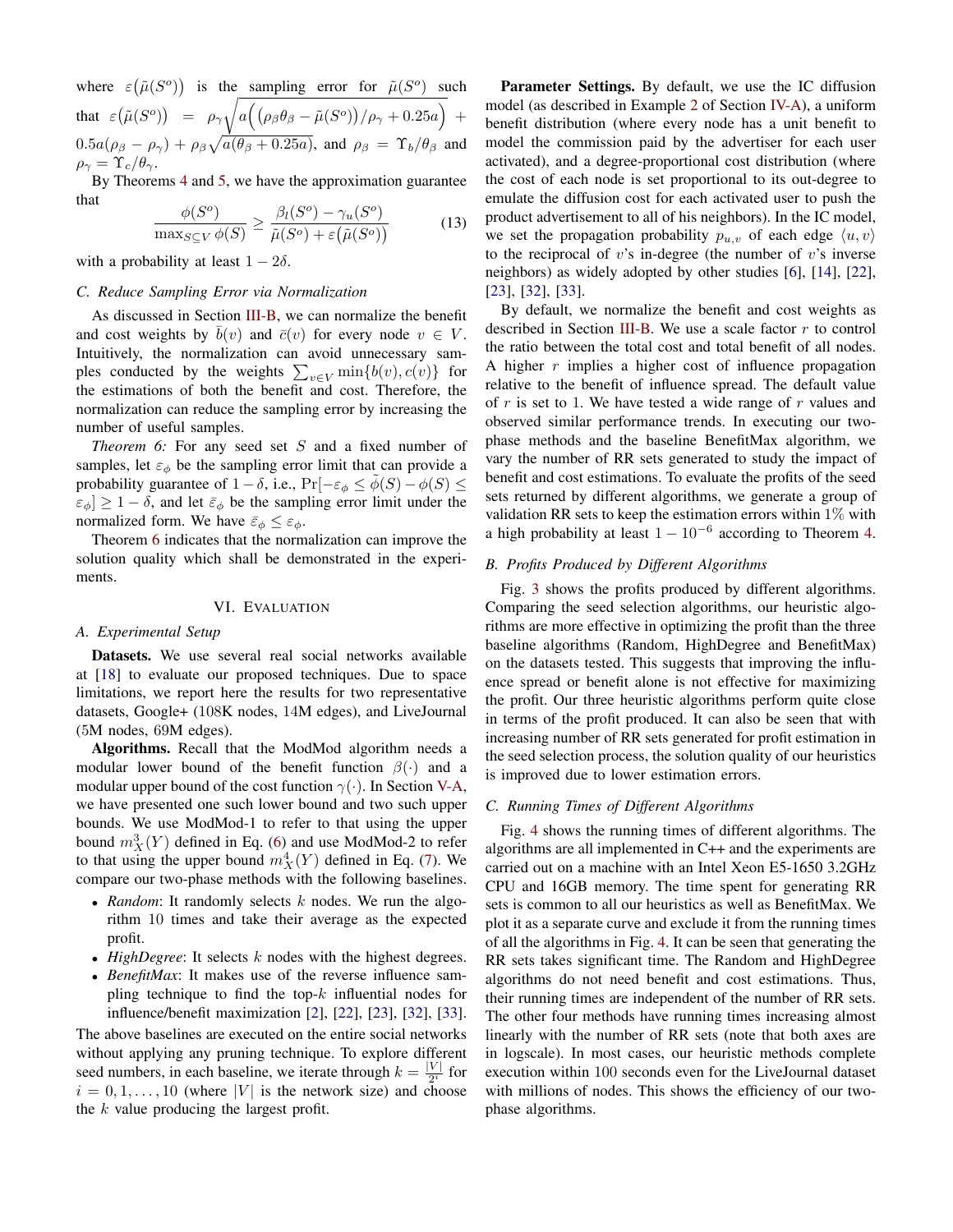where  $\varepsilon(\tilde{\mu}(S^o))$  is the sampling error for  $\tilde{\mu}(S^o)$  such that  $\varepsilon \big( \tilde{\mu}(S^o) \big) \;\; = \;\; \rho_\gamma \sqrt{a \Big( \big( \rho_\beta \theta_\beta - \tilde{\mu}(S^o) \big) / \rho_\gamma + 0.25 a \Big) }\;\; +$  $0.5a(\rho_{\beta} - \rho_{\gamma}) + \rho_{\beta}\sqrt{a(\theta_{\beta} + 0.25a)}$ , and  $\rho_{\beta} = \Upsilon_b/\theta_{\beta}$  and  $\rho_{\gamma} = \Upsilon_c/\theta_{\gamma}.$ 

By Theorems [4](#page-5-1) and [5,](#page-5-2) we have the approximation guarantee that

<span id="page-6-2"></span>
$$
\frac{\phi(S^o)}{\max_{S \subseteq V} \phi(S)} \ge \frac{\beta_l(S^o) - \gamma_u(S^o)}{\tilde{\mu}(S^o) + \varepsilon(\tilde{\mu}(S^o))}
$$
(13)

with a probability at least  $1 - 2\delta$ .

# *C. Reduce Sampling Error via Normalization*

As discussed in Section [III-B,](#page-1-3) we can normalize the benefit and cost weights by  $\overline{b}(v)$  and  $\overline{c}(v)$  for every node  $v \in V$ . Intuitively, the normalization can avoid unnecessary samples conducted by the weights  $\sum_{v \in V} \min\{b(v), c(v)\}\$  for the estimations of both the benefit and cost. Therefore, the normalization can reduce the sampling error by increasing the number of useful samples.

<span id="page-6-1"></span>*Theorem 6:* For any seed set S and a fixed number of samples, let  $\varepsilon_{\phi}$  be the sampling error limit that can provide a probability guarantee of  $1 - \delta$ , i.e.,  $Pr[-\varepsilon_{\phi} \leq \phi(S) - \phi(S)]$  $\epsilon_{\phi}$   $\geq 1 - \delta$ , and let  $\bar{\epsilon}_{\phi}$  be the sampling error limit under the normalized form. We have  $\bar{\varepsilon}_{\phi} \leq \varepsilon_{\phi}$ .

Theorem [6](#page-6-1) indicates that the normalization can improve the solution quality which shall be demonstrated in the experiments.

## VI. EVALUATION

## <span id="page-6-0"></span>*A. Experimental Setup*

Datasets. We use several real social networks available at [\[18\]](#page-8-35) to evaluate our proposed techniques. Due to space limitations, we report here the results for two representative datasets, Google+ (108K nodes, 14M edges), and LiveJournal (5M nodes, 69M edges).

Algorithms. Recall that the ModMod algorithm needs a modular lower bound of the benefit function  $\beta(\cdot)$  and a modular upper bound of the cost function  $\gamma(\cdot)$ . In Section [V-A,](#page-4-3) we have presented one such lower bound and two such upper bounds. We use ModMod-1 to refer to that using the upper bound  $m_X^3(Y)$  defined in Eq. [\(6\)](#page-4-4) and use ModMod-2 to refer to that using the upper bound  $m_X^4(Y)$  defined in Eq. [\(7\)](#page-4-5). We compare our two-phase methods with the following baselines.

- *Random*: It randomly selects k nodes. We run the algorithm 10 times and take their average as the expected profit.
- *HighDegree*: It selects k nodes with the highest degrees.
- *BenefitMax*: It makes use of the reverse influence sampling technique to find the top- $k$  influential nodes for influence/benefit maximization [\[2\]](#page-8-29), [\[22\]](#page-8-10), [\[23\]](#page-8-11), [\[32\]](#page-8-16), [\[33\]](#page-8-17).

The above baselines are executed on the entire social networks without applying any pruning technique. To explore different seed numbers, in each baseline, we iterate through  $k = \frac{|V|}{2^i}$  $rac{v}{2^i}$  for  $i = 0, 1, \ldots, 10$  (where |V| is the network size) and choose the  $k$  value producing the largest profit.

Parameter Settings. By default, we use the IC diffusion model (as described in Example [2](#page-3-3) of Section [IV-A\)](#page-2-5), a uniform benefit distribution (where every node has a unit benefit to model the commission paid by the advertiser for each user activated), and a degree-proportional cost distribution (where the cost of each node is set proportional to its out-degree to emulate the diffusion cost for each activated user to push the product advertisement to all of his neighbors). In the IC model, we set the propagation probability  $p_{u,v}$  of each edge  $\langle u, v \rangle$ to the reciprocal of  $v$ 's in-degree (the number of  $v$ 's inverse neighbors) as widely adopted by other studies [\[6\]](#page-8-4), [\[14\]](#page-8-7), [\[22\]](#page-8-10), [\[23\]](#page-8-11), [\[32\]](#page-8-16), [\[33\]](#page-8-17).

By default, we normalize the benefit and cost weights as described in Section [III-B.](#page-1-3) We use a scale factor  $r$  to control the ratio between the total cost and total benefit of all nodes. A higher  $r$  implies a higher cost of influence propagation relative to the benefit of influence spread. The default value of  $r$  is set to 1. We have tested a wide range of  $r$  values and observed similar performance trends. In executing our twophase methods and the baseline BenefitMax algorithm, we vary the number of RR sets generated to study the impact of benefit and cost estimations. To evaluate the profits of the seed sets returned by different algorithms, we generate a group of validation RR sets to keep the estimation errors within  $1\%$  with a high probability at least  $1 - 10^{-6}$  according to Theorem [4.](#page-5-1)

## *B. Profits Produced by Different Algorithms*

Fig. [3](#page-7-0) shows the profits produced by different algorithms. Comparing the seed selection algorithms, our heuristic algorithms are more effective in optimizing the profit than the three baseline algorithms (Random, HighDegree and BenefitMax) on the datasets tested. This suggests that improving the influence spread or benefit alone is not effective for maximizing the profit. Our three heuristic algorithms perform quite close in terms of the profit produced. It can also be seen that with increasing number of RR sets generated for profit estimation in the seed selection process, the solution quality of our heuristics is improved due to lower estimation errors.

# *C. Running Times of Different Algorithms*

Fig. [4](#page-7-1) shows the running times of different algorithms. The algorithms are all implemented in C++ and the experiments are carried out on a machine with an Intel Xeon E5-1650 3.2GHz CPU and 16GB memory. The time spent for generating RR sets is common to all our heuristics as well as BenefitMax. We plot it as a separate curve and exclude it from the running times of all the algorithms in Fig. [4.](#page-7-1) It can be seen that generating the RR sets takes significant time. The Random and HighDegree algorithms do not need benefit and cost estimations. Thus, their running times are independent of the number of RR sets. The other four methods have running times increasing almost linearly with the number of RR sets (note that both axes are in logscale). In most cases, our heuristic methods complete execution within 100 seconds even for the LiveJournal dataset with millions of nodes. This shows the efficiency of our twophase algorithms.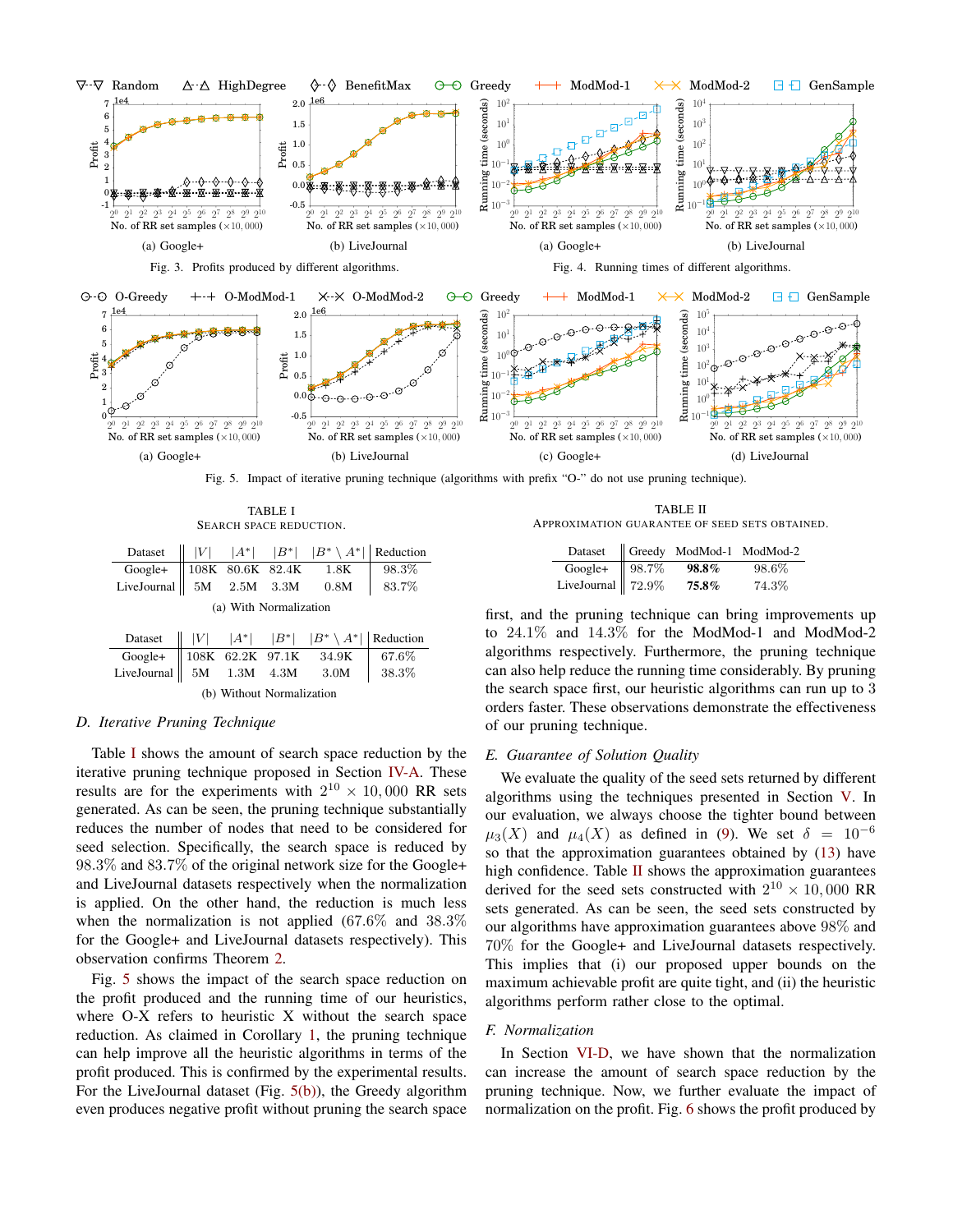<span id="page-7-3"></span><span id="page-7-1"></span><span id="page-7-0"></span>

<span id="page-7-4"></span>Fig. 5. Impact of iterative pruning technique (algorithms with prefix "O-" do not use pruning technique).

TABLE I SEARCH SPACE REDUCTION.

<span id="page-7-2"></span>

|                                                                            |  |                                    |  | Dataset $   V $ $ A^* $ $ B^* $ $ B^* \setminus A^* $ Reduction |                             |  |
|----------------------------------------------------------------------------|--|------------------------------------|--|-----------------------------------------------------------------|-----------------------------|--|
| Google+ 108K 80.6K 82.4K 1.8K 98.3%<br>LiveJournal 5M 2.5M 3.3M 0.8M 83.7% |  |                                    |  |                                                                 |                             |  |
|                                                                            |  |                                    |  |                                                                 |                             |  |
| (a) With Normalization                                                     |  |                                    |  |                                                                 |                             |  |
|                                                                            |  |                                    |  | Dataset $   V $ $ A^* $ $ B^* $ $ B^* \setminus A^* $ Reduction |                             |  |
|                                                                            |  | $\sim$ $\sim$ $\sim$ $\sim$ $\sim$ |  |                                                                 | $\sim$ $\sim$ $\sim$ $\sim$ |  |

| Google+ 108K 62.2K 97.1K 34.9K 67.6%<br>LiveJournal 5M 1.3M 4.3M 3.0M 38.3% |  |  |  |  |  |  |
|-----------------------------------------------------------------------------|--|--|--|--|--|--|
| (b) Without Normalization                                                   |  |  |  |  |  |  |

# <span id="page-7-6"></span>*D. Iterative Pruning Technique*

Table [I](#page-7-2) shows the amount of search space reduction by the iterative pruning technique proposed in Section [IV-A.](#page-2-5) These results are for the experiments with  $2^{10} \times 10,000$  RR sets generated. As can be seen, the pruning technique substantially reduces the number of nodes that need to be considered for seed selection. Specifically, the search space is reduced by 98.3% and 83.7% of the original network size for the Google+ and LiveJournal datasets respectively when the normalization is applied. On the other hand, the reduction is much less when the normalization is not applied (67.6% and 38.3% for the Google+ and LiveJournal datasets respectively). This observation confirms Theorem [2.](#page-3-4)

Fig. [5](#page-7-3) shows the impact of the search space reduction on the profit produced and the running time of our heuristics, where O-X refers to heuristic X without the search space reduction. As claimed in Corollary [1,](#page-2-4) the pruning technique can help improve all the heuristic algorithms in terms of the profit produced. This is confirmed by the experimental results. For the LiveJournal dataset (Fig. [5\(b\)\)](#page-7-4), the Greedy algorithm even produces negative profit without pruning the search space

<span id="page-7-5"></span>TABLE II APPROXIMATION GUARANTEE OF SEED SETS OBTAINED.

|                                 | Dataset    Greedy ModMod-1 ModMod-2 |       |
|---------------------------------|-------------------------------------|-------|
| Google+ $\left  98.7\% \right $ | 98.8%                               | 98.6% |
| LiveJournal   $72.9\%$          | 75.8%                               | 74.3% |

first, and the pruning technique can bring improvements up to 24.1% and 14.3% for the ModMod-1 and ModMod-2 algorithms respectively. Furthermore, the pruning technique can also help reduce the running time considerably. By pruning the search space first, our heuristic algorithms can run up to 3 orders faster. These observations demonstrate the effectiveness of our pruning technique.

#### *E. Guarantee of Solution Quality*

We evaluate the quality of the seed sets returned by different algorithms using the techniques presented in Section [V.](#page-4-0) In our evaluation, we always choose the tighter bound between  $\mu_3(X)$  and  $\mu_4(X)$  as defined in [\(9\)](#page-4-6). We set  $\delta = 10^{-6}$ so that the approximation guarantees obtained by [\(13\)](#page-6-2) have high confidence. Table [II](#page-7-5) shows the approximation guarantees derived for the seed sets constructed with  $2^{10} \times 10,000$  RR sets generated. As can be seen, the seed sets constructed by our algorithms have approximation guarantees above 98% and 70% for the Google+ and LiveJournal datasets respectively. This implies that (i) our proposed upper bounds on the maximum achievable profit are quite tight, and (ii) the heuristic algorithms perform rather close to the optimal.

#### *F. Normalization*

In Section [VI-D,](#page-7-6) we have shown that the normalization can increase the amount of search space reduction by the pruning technique. Now, we further evaluate the impact of normalization on the profit. Fig. [6](#page-8-36) shows the profit produced by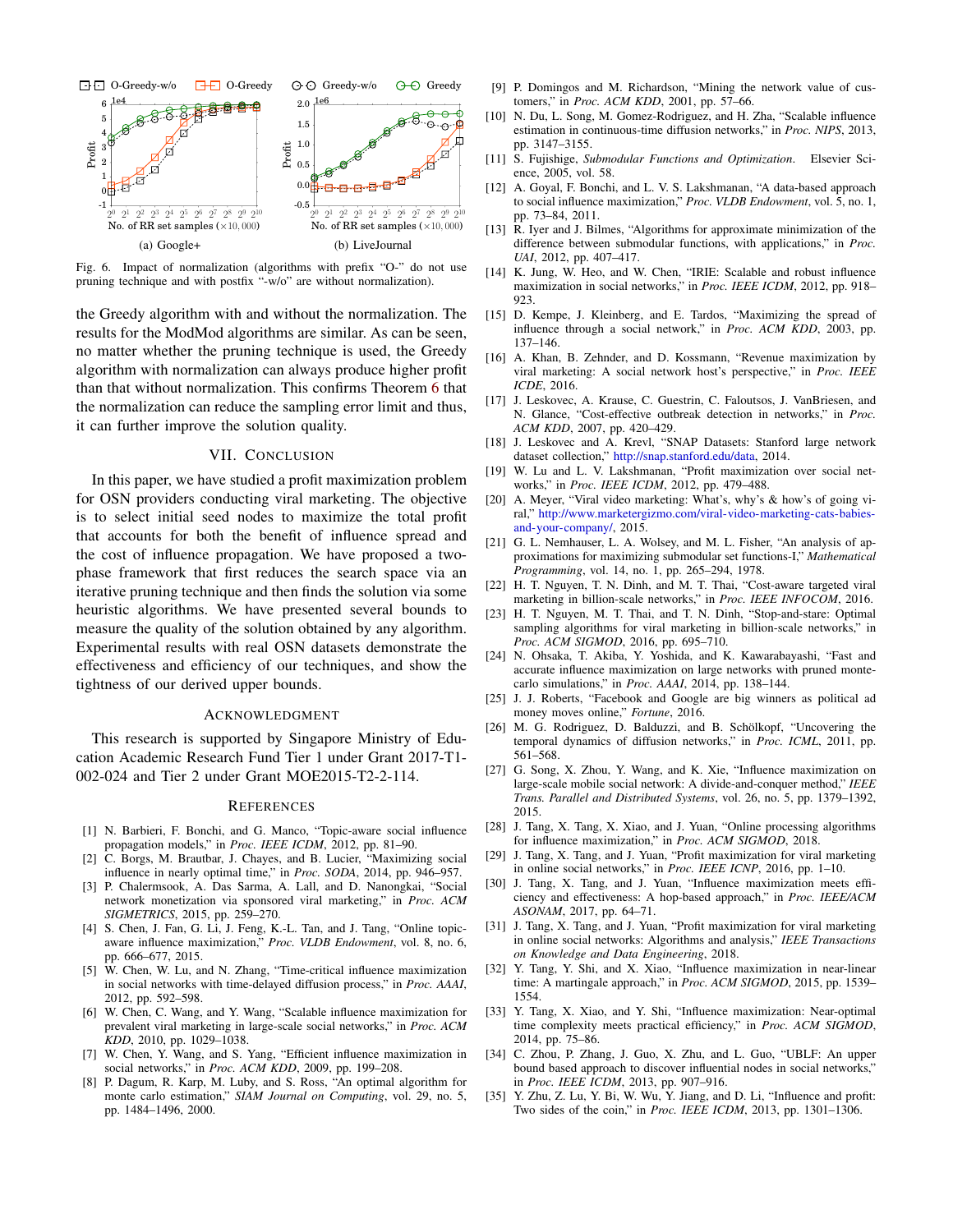<span id="page-8-36"></span>

Fig. 6. Impact of normalization (algorithms with prefix "O-" do not use pruning technique and with postfix "-w/o" are without normalization).

the Greedy algorithm with and without the normalization. The results for the ModMod algorithms are similar. As can be seen, no matter whether the pruning technique is used, the Greedy algorithm with normalization can always produce higher profit than that without normalization. This confirms Theorem [6](#page-6-1) that the normalization can reduce the sampling error limit and thus, it can further improve the solution quality.

#### VII. CONCLUSION

<span id="page-8-26"></span>In this paper, we have studied a profit maximization problem for OSN providers conducting viral marketing. The objective is to select initial seed nodes to maximize the total profit that accounts for both the benefit of influence spread and the cost of influence propagation. We have proposed a twophase framework that first reduces the search space via an iterative pruning technique and then finds the solution via some heuristic algorithms. We have presented several bounds to measure the quality of the solution obtained by any algorithm. Experimental results with real OSN datasets demonstrate the effectiveness and efficiency of our techniques, and show the tightness of our derived upper bounds.

#### ACKNOWLEDGMENT

This research is supported by Singapore Ministry of Education Academic Research Fund Tier 1 under Grant 2017-T1- 002-024 and Tier 2 under Grant MOE2015-T2-2-114.

#### **REFERENCES**

- <span id="page-8-19"></span>[1] N. Barbieri, F. Bonchi, and G. Manco, "Topic-aware social influence propagation models," in *Proc. IEEE ICDM*, 2012, pp. 81–90.
- <span id="page-8-29"></span>[2] C. Borgs, M. Brautbar, J. Chayes, and B. Lucier, "Maximizing social influence in nearly optimal time," in *Proc. SODA*, 2014, pp. 946–957.
- <span id="page-8-2"></span>[3] P. Chalermsook, A. Das Sarma, A. Lall, and D. Nanongkai, "Social network monetization via sponsored viral marketing," in *Proc. ACM SIGMETRICS*, 2015, pp. 259–270.
- <span id="page-8-32"></span>[4] S. Chen, J. Fan, G. Li, J. Feng, K.-L. Tan, and J. Tang, "Online topicaware influence maximization," *Proc. VLDB Endowment*, vol. 8, no. 6, pp. 666–677, 2015.
- <span id="page-8-30"></span>[5] W. Chen, W. Lu, and N. Zhang, "Time-critical influence maximization in social networks with time-delayed diffusion process," in *Proc. AAAI*, 2012, pp. 592–598.
- <span id="page-8-4"></span>[6] W. Chen, C. Wang, and Y. Wang, "Scalable influence maximization for prevalent viral marketing in large-scale social networks," in *Proc. ACM KDD*, 2010, pp. 1029–1038.
- <span id="page-8-5"></span>[7] W. Chen, Y. Wang, and S. Yang, "Efficient influence maximization in social networks," in *Proc. ACM KDD*, 2009, pp. 199–208.
- <span id="page-8-34"></span>[8] P. Dagum, R. Karp, M. Luby, and S. Ross, "An optimal algorithm for monte carlo estimation," *SIAM Journal on Computing*, vol. 29, no. 5, pp. 1484–1496, 2000.
- <span id="page-8-0"></span>[9] P. Domingos and M. Richardson, "Mining the network value of customers," in *Proc. ACM KDD*, 2001, pp. 57–66.
- <span id="page-8-31"></span>[10] N. Du, L. Song, M. Gomez-Rodriguez, and H. Zha, "Scalable influence estimation in continuous-time diffusion networks," in *Proc. NIPS*, 2013, pp. 3147–3155.
- <span id="page-8-33"></span>[11] S. Fujishige, *Submodular Functions and Optimization*. Elsevier Science, 2005, vol. 58.
- <span id="page-8-6"></span>[12] A. Goyal, F. Bonchi, and L. V. S. Lakshmanan, "A data-based approach to social influence maximization," *Proc. VLDB Endowment*, vol. 5, no. 1, pp. 73–84, 2011.
- <span id="page-8-28"></span>[13] R. Iyer and J. Bilmes, "Algorithms for approximate minimization of the difference between submodular functions, with applications," in *Proc. UAI*, 2012, pp. 407–417.
- <span id="page-8-7"></span>[14] K. Jung, W. Heo, and W. Chen, "IRIE: Scalable and robust influence maximization in social networks," in *Proc. IEEE ICDM*, 2012, pp. 918– 923.
- <span id="page-8-8"></span>[15] D. Kempe, J. Kleinberg, and E. Tardos, "Maximizing the spread of influence through a social network," in *Proc. ACM KDD*, 2003, pp. 137–146.
- <span id="page-8-27"></span>[16] A. Khan, B. Zehnder, and D. Kossmann, "Revenue maximization by viral marketing: A social network host's perspective," in *Proc. IEEE ICDE*, 2016.
- <span id="page-8-9"></span>[17] J. Leskovec, A. Krause, C. Guestrin, C. Faloutsos, J. VanBriesen, and N. Glance, "Cost-effective outbreak detection in networks," in *Proc. ACM KDD*, 2007, pp. 420–429.
- <span id="page-8-35"></span>[18] J. Leskovec and A. Krevl, "SNAP Datasets: Stanford large network dataset collection," [http://snap.stanford.edu/data,](http://snap.stanford.edu/data) 2014.
- <span id="page-8-22"></span>[19] W. Lu and L. V. Lakshmanan, "Profit maximization over social networks," in *Proc. IEEE ICDM*, 2012, pp. 479–488.
- <span id="page-8-3"></span>[20] A. Meyer, "Viral video marketing: What's, why's & how's of going viral," [http://www.marketergizmo.com/viral-video-marketing-cats-babies](http://www.marketergizmo.com/viral-video-marketing-cats-babies-and-your-company/)[and-your-company/,](http://www.marketergizmo.com/viral-video-marketing-cats-babies-and-your-company/) 2015.
- <span id="page-8-21"></span>[21] G. L. Nemhauser, L. A. Wolsey, and M. L. Fisher, "An analysis of approximations for maximizing submodular set functions-I," *Mathematical Programming*, vol. 14, no. 1, pp. 265–294, 1978.
- <span id="page-8-10"></span>[22] H. T. Nguyen, T. N. Dinh, and M. T. Thai, "Cost-aware targeted viral marketing in billion-scale networks," in *Proc. IEEE INFOCOM*, 2016.
- <span id="page-8-11"></span>[23] H. T. Nguyen, M. T. Thai, and T. N. Dinh, "Stop-and-stare: Optimal sampling algorithms for viral marketing in billion-scale networks," in *Proc. ACM SIGMOD*, 2016, pp. 695–710.
- <span id="page-8-12"></span>[24] N. Ohsaka, T. Akiba, Y. Yoshida, and K. Kawarabayashi, "Fast and accurate influence maximization on large networks with pruned montecarlo simulations," in *Proc. AAAI*, 2014, pp. 138–144.
- <span id="page-8-1"></span>[25] J. J. Roberts, "Facebook and Google are big winners as political ad money moves online," *Fortune*, 2016.
- <span id="page-8-20"></span>[26] M. G. Rodriguez, D. Balduzzi, and B. Schölkopf, "Uncovering the temporal dynamics of diffusion networks," in *Proc. ICML*, 2011, pp. 561–568.
- <span id="page-8-13"></span>[27] G. Song, X. Zhou, Y. Wang, and K. Xie, "Influence maximization on large-scale mobile social network: A divide-and-conquer method," *IEEE Trans. Parallel and Distributed Systems*, vol. 26, no. 5, pp. 1379–1392, 2015.
- <span id="page-8-14"></span>[28] J. Tang, X. Tang, X. Xiao, and J. Yuan, "Online processing algorithms for influence maximization," in *Proc. ACM SIGMOD*, 2018.
- <span id="page-8-23"></span>[29] J. Tang, X. Tang, and J. Yuan, "Profit maximization for viral marketing in online social networks," in *Proc. IEEE ICNP*, 2016, pp. 1–10.
- <span id="page-8-15"></span>[30] J. Tang, X. Tang, and J. Yuan, "Influence maximization meets efficiency and effectiveness: A hop-based approach," in *Proc. IEEE/ACM ASONAM*, 2017, pp. 64–71.
- <span id="page-8-24"></span>[31] J. Tang, X. Tang, and J. Yuan, "Profit maximization for viral marketing in online social networks: Algorithms and analysis," *IEEE Transactions on Knowledge and Data Engineering*, 2018.
- <span id="page-8-16"></span>[32] Y. Tang, Y. Shi, and X. Xiao, "Influence maximization in near-linear time: A martingale approach," in *Proc. ACM SIGMOD*, 2015, pp. 1539– 1554.
- <span id="page-8-17"></span>[33] Y. Tang, X. Xiao, and Y. Shi, "Influence maximization: Near-optimal time complexity meets practical efficiency," in *Proc. ACM SIGMOD*, 2014, pp. 75–86.
- <span id="page-8-18"></span>[34] C. Zhou, P. Zhang, J. Guo, X. Zhu, and L. Guo, "UBLF: An upper bound based approach to discover influential nodes in social networks," in *Proc. IEEE ICDM*, 2013, pp. 907–916.
- <span id="page-8-25"></span>[35] Y. Zhu, Z. Lu, Y. Bi, W. Wu, Y. Jiang, and D. Li, "Influence and profit: Two sides of the coin," in *Proc. IEEE ICDM*, 2013, pp. 1301–1306.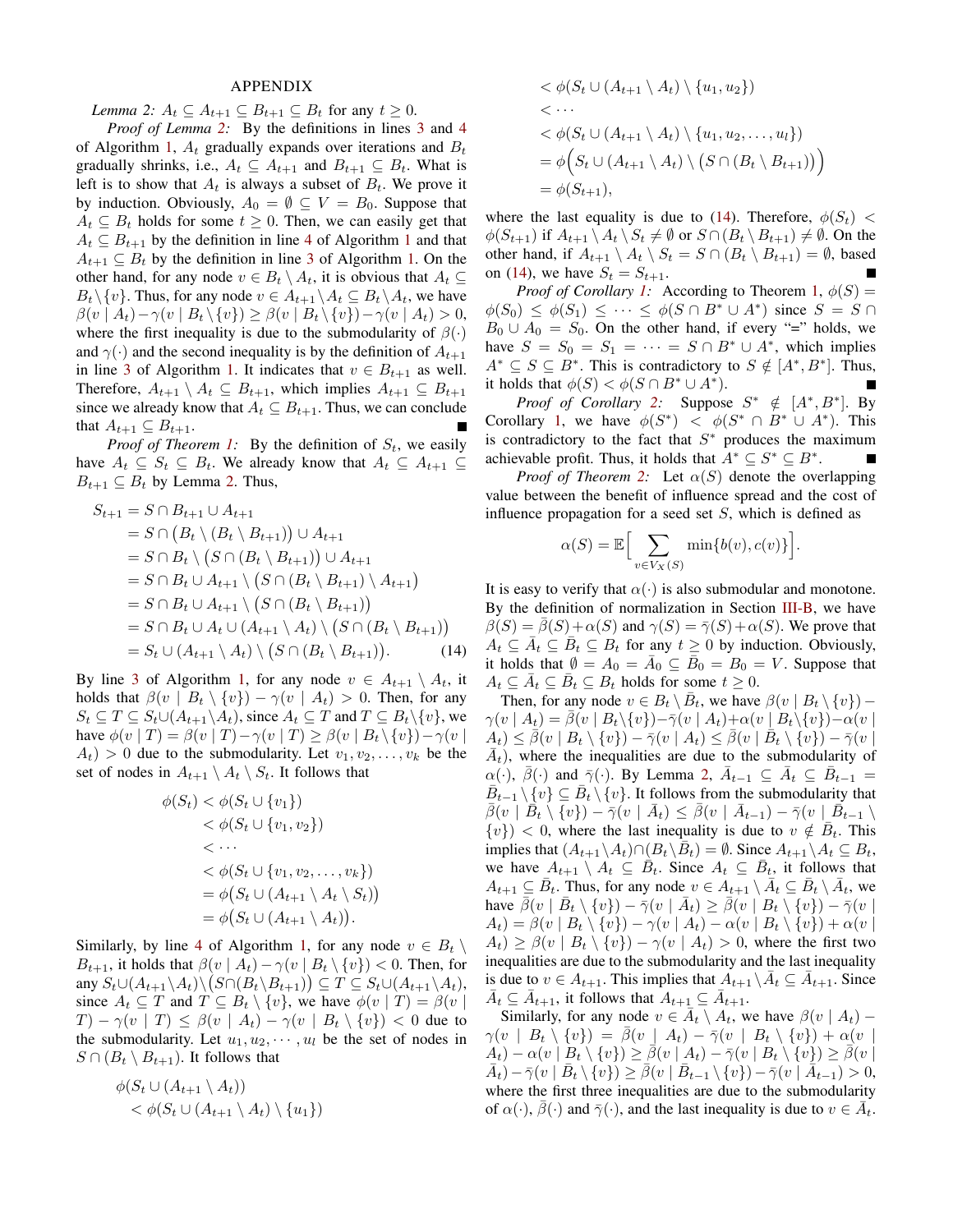## APPENDIX

<span id="page-9-0"></span>*Lemma 2:*  $A_t \subseteq A_{t+1} \subseteq B_{t+1} \subseteq B_t$  for any  $t \geq 0$ .

*Proof of Lemma [2:](#page-9-0)* By the definitions in lines [3](#page-2-6) and [4](#page-2-7) of Algorithm [1,](#page-2-2)  $A_t$  gradually expands over iterations and  $B_t$ gradually shrinks, i.e.,  $A_t \subseteq A_{t+1}$  and  $B_{t+1} \subseteq B_t$ . What is left is to show that  $A_t$  is always a subset of  $B_t$ . We prove it by induction. Obviously,  $A_0 = \emptyset \subseteq V = B_0$ . Suppose that  $A_t \subseteq B_t$  holds for some  $t \geq 0$ . Then, we can easily get that  $A_t \subseteq B_{t+1}$  $A_t \subseteq B_{t+1}$  $A_t \subseteq B_{t+1}$  by the definition in line [4](#page-2-7) of Algorithm 1 and that  $A_{t+1} \subseteq B_t$  by the definition in line [3](#page-2-6) of Algorithm [1.](#page-2-2) On the other hand, for any node  $v \in B_t \setminus A_t$ , it is obvious that  $A_t \subseteq$  $B_t \setminus \{v\}$ . Thus, for any node  $v \in A_{t+1} \setminus A_t \subseteq B_t \setminus A_t$ , we have  $\beta(v \mid A_t) - \gamma(v \mid B_t \setminus \{v\}) \geq \beta(v \mid B_t \setminus \{v\}) - \gamma(v \mid A_t) > 0,$ where the first inequality is due to the submodularity of  $\beta(\cdot)$ and  $\gamma(\cdot)$  and the second inequality is by the definition of  $A_{t+1}$ in line [3](#page-2-6) of Algorithm [1.](#page-2-2) It indicates that  $v \in B_{t+1}$  as well. Therefore,  $A_{t+1} \setminus A_t \subseteq B_{t+1}$ , which implies  $A_{t+1} \subseteq B_{t+1}$ since we already know that  $A_t \subseteq B_{t+1}$ . Thus, we can conclude that  $A_{t+1} \subseteq B_{t+1}$ .

*Proof of Theorem [1:](#page-2-3)* By the definition of  $S_t$ , we easily have  $A_t \subseteq S_t \subseteq B_t$ . We already know that  $A_t \subseteq A_{t+1} \subseteq$  $B_{t+1} \subseteq B_t$  by Lemma [2.](#page-9-0) Thus,

$$
S_{t+1} = S \cap B_{t+1} \cup A_{t+1}
$$
  
=  $S \cap (B_t \setminus (B_t \setminus B_{t+1})) \cup A_{t+1}$   
=  $S \cap B_t \setminus (S \cap (B_t \setminus B_{t+1})) \cup A_{t+1}$   
=  $S \cap B_t \cup A_{t+1} \setminus (S \cap (B_t \setminus B_{t+1}) \setminus A_{t+1})$   
=  $S \cap B_t \cup A_{t+1} \setminus (S \cap (B_t \setminus B_{t+1}))$   
=  $S \cap B_t \cup A_t \cup (A_{t+1} \setminus A_t) \setminus (S \cap (B_t \setminus B_{t+1}))$   
=  $S_t \cup (A_{t+1} \setminus A_t) \setminus (S \cap (B_t \setminus B_{t+1})).$  (14)

By line [3](#page-2-6) of Algorithm [1,](#page-2-2) for any node  $v \in A_{t+1} \setminus A_t$ , it holds that  $\beta(v \mid B_t \setminus \{v\}) - \gamma(v \mid A_t) > 0$ . Then, for any  $S_t \subseteq T \subseteq S_t \cup (A_{t+1} \backslash A_t)$ , since  $A_t \subseteq T$  and  $T \subseteq B_t \backslash \{v\}$ , we have  $\phi(v | T) = \beta(v | T) - \gamma(v | T) \ge \beta(v | B_t \setminus \{v\}) - \gamma(v | T)$  $A_t$ ) > 0 due to the submodularity. Let  $v_1, v_2, \ldots, v_k$  be the set of nodes in  $A_{t+1} \setminus A_t \setminus S_t$ . It follows that

$$
\phi(S_t) < \phi(S_t \cup \{v_1\}) \n& \phi(S_t \cup \{v_1, v_2\}) \n& \cdots \n& \phi(S_t \cup \{v_1, v_2, \ldots, v_k\}) \n= \phi(S_t \cup (A_{t+1} \setminus A_t \setminus S_t)) \n= \phi(S_t \cup (A_{t+1} \setminus A_t)).
$$

Similarly, by line [4](#page-2-7) of Algorithm [1,](#page-2-2) for any node  $v \in B_t \setminus$  $B_{t+1}$ , it holds that  $\beta(v \mid A_t) - \gamma(v \mid B_t \setminus \{v\}) < 0$ . Then, for any  $S_t \cup (A_{t+1} \setminus A_t) \setminus (S \cap (B_t \setminus B_{t+1})) \subseteq T \subseteq S_t \cup (A_{t+1} \setminus A_t),$ since  $A_t \subseteq T$  and  $T \subseteq B_t \setminus \{v\}$ , we have  $\phi(v | T) = \beta(v | T)$  $T - \gamma(v \mid T) \leq \beta(v \mid A_t) - \gamma(v \mid B_t \setminus \{v\}) < 0$  due to the submodularity. Let  $u_1, u_2, \dots, u_l$  be the set of nodes in  $S \cap (B_t \setminus B_{t+1})$ . It follows that

$$
\phi(S_t \cup (A_{t+1} \setminus A_t)) < \phi(S_t \cup (A_{t+1} \setminus A_t) \setminus \{u_1\})
$$

$$
\langle \phi(S_t \cup (A_{t+1} \setminus A_t) \setminus \{u_1, u_2\})
$$
  

$$
\langle \cdots
$$
  

$$
\langle \phi(S_t \cup (A_{t+1} \setminus A_t) \setminus \{u_1, u_2, \dots, u_l\})
$$
  

$$
= \phi(S_t \cup (A_{t+1} \setminus A_t) \setminus (S \cap (B_t \setminus B_{t+1})) )
$$
  

$$
= \phi(S_{t+1}),
$$

where the last equality is due to [\(14\)](#page-9-1). Therefore,  $\phi(S_t)$  <  $\phi(S_{t+1})$  if  $A_{t+1} \setminus A_t \setminus S_t \neq \emptyset$  or  $S \cap (B_t \setminus B_{t+1}) \neq \emptyset$ . On the other hand, if  $A_{t+1} \setminus A_t \setminus S_t = S \cap (B_t \setminus B_{t+1}) = \emptyset$ , based on [\(14\)](#page-9-1), we have  $S_t = S_{t+1}$ .

*Proof of Corollary [1:](#page-2-4)* According to Theorem [1,](#page-2-3)  $\phi(S)$  =  $\phi(S_0) \leq \phi(S_1) \leq \cdots \leq \phi(S \cap B^* \cup A^*)$  since  $S = S \cap$  $B_0 \cup A_0 = S_0$ . On the other hand, if every "=" holds, we have  $S = S_0 = S_1 = \cdots = S \cap B^* \cup A^*$ , which implies  $A^* \subseteq S \subseteq B^*$ . This is contradictory to  $S \notin [A^*, B^*]$ . Thus, it holds that  $\phi(S) < \phi(S \cap B^* \cup A^*)$ .

*Proof of Corollary [2:](#page-3-2)* Suppose  $S^* \notin [A^*, B^*]$ . By Corollary [1,](#page-2-4) we have  $\phi(S^*) < \phi(S^* \cap B^* \cup A^*)$ . This is contradictory to the fact that  $S^*$  produces the maximum achievable profit. Thus, it holds that  $A^* \subseteq S^* \subseteq B^*$ .

*Proof of Theorem [2:](#page-3-4)* Let  $\alpha(S)$  denote the overlapping value between the benefit of influence spread and the cost of influence propagation for a seed set S, which is defined as

$$
\alpha(S) = \mathbb{E}\Big[\sum_{v \in V_X(S)} \min\{b(v), c(v)\}\Big].
$$

<span id="page-9-1"></span>It is easy to verify that  $\alpha(\cdot)$  is also submodular and monotone. By the definition of normalization in Section [III-B,](#page-1-3) we have  $\beta(S) = \overline{\beta}(S) + \alpha(S)$  and  $\gamma(S) = \overline{\gamma}(S) + \alpha(S)$ . We prove that  $A_t \subseteq \overline{A}_t \subseteq \overline{B}_t \subseteq B_t$  for any  $t \geq 0$  by induction. Obviously, it holds that  $\emptyset = A_0 = \overline{A}_0 \subseteq \overline{B}_0 = B_0 = V$ . Suppose that  $A_t \subseteq \overline{A}_t \subseteq \overline{B}_t \subseteq B_t$  holds for some  $t \geq 0$ .

Then, for any node  $v \in B_t \setminus \overline{B_t}$ , we have  $\beta(v \mid B_t \setminus \{v\})$  –  $\gamma(v \mid A_t) = \beta(v \mid B_t \setminus \{v\}) - \overline{\gamma}(v \mid A_t) + \alpha(v \mid B_t \setminus \{v\}) - \alpha(v \mid B_t)$  $\overline{A}_t) \leq \overline{\beta}(v \mid B_t \setminus \{v\}) - \overline{\gamma}(v \mid A_t) \leq \overline{\beta}(v \mid \overline{B}_t \setminus \{v\}) - \overline{\gamma}(v \mid A_t)$  $\bar{A}_t$ ), where the inequalities are due to the submodularity of  $\alpha(\cdot), \bar{\beta}(\cdot)$  and  $\bar{\gamma}(\cdot)$ . By Lemma [2,](#page-9-0)  $\bar{A}_{t-1} \subseteq \bar{A}_t \subseteq \bar{B}_{t-1}$  $\overline{B}_{t-1} \setminus \{v\} \subseteq \overline{B}_t \setminus \{v\}$ . It follows from the submodularity that  $\bar{\beta}(v \mid \overline{B}_t \setminus \{v\}) - \bar{\gamma}(v \mid \bar{A}_t) \leq \bar{\beta}(v \mid \bar{A}_{t-1}) - \bar{\gamma}(v \mid \bar{B}_{t-1} \setminus \{v\})$  ${v}$ ) < 0, where the last inequality is due to  $v \notin \overline{B}_t$ . This implies that  $(A_{t+1} \setminus A_t) \cap (B_t \setminus \overline{B}_t) = \emptyset$ . Since  $A_{t+1} \setminus A_t \subseteq B_t$ , we have  $A_{t+1} \setminus A_t \subseteq \overline{B}_t$ . Since  $A_t \subseteq \overline{B}_t$ , it follows that  $A_{t+1} \subseteq \overline{B}_t$ . Thus, for any node  $v \in A_{t+1} \setminus \overline{A}_t \subseteq \overline{B}_t \setminus \overline{A}_t$ , we have  $\bar{\beta}(v \mid \bar{B}_t \setminus \{v\}) - \bar{\gamma}(v \mid \bar{A}_t) \ge \bar{\beta}(v \mid B_t \setminus \{v\}) - \bar{\gamma}(v \mid \bar{A}_t)$  $A_t$ ) =  $\beta(v \mid B_t \setminus \{v\}) - \gamma(v \mid A_t) - \alpha(v \mid B_t \setminus \{v\}) + \alpha(v \mid B_t)$  $A_t$ )  $\geq \beta(v \mid B_t \setminus \{v\}) - \gamma(v \mid A_t) > 0$ , where the first two inequalities are due to the submodularity and the last inequality is due to  $v \in A_{t+1}$ . This implies that  $A_{t+1} \setminus \overline{A}_t \subseteq \overline{A}_{t+1}$ . Since  $\bar{A}_t \subseteq \bar{A}_{t+1}$ , it follows that  $A_{t+1} \subseteq \bar{A}_{t+1}$ .

Similarly, for any node  $v \in \overline{A}_t \setminus A_t$ , we have  $\beta(v \mid A_t)$  –  $\gamma(v \mid B_t \setminus \{v\}) = \overline{\beta}(v \mid A_t) - \overline{\gamma}(v \mid B_t \setminus \{v\}) + \alpha(v \mid B_t)$  $A_t$ ) –  $\alpha(v \mid B_t \setminus \{v\}) \geq \overline{\beta}(v \mid A_t) - \overline{\gamma}(v \mid B_t \setminus \{v\}) \geq \overline{\beta}(v \mid A_t)$  $\overline{A}_t$ ) –  $\overline{\gamma}(v \mid \overline{B}_t \setminus \{v\}) \geq \overline{\beta}(v \mid \overline{B}_{t-1} \setminus \{v\}) - \overline{\gamma}(v \mid \overline{A}_{t-1}) > 0,$ where the first three inequalities are due to the submodularity of  $\alpha(\cdot)$ ,  $\bar{\beta}(\cdot)$  and  $\bar{\gamma}(\cdot)$ , and the last inequality is due to  $v \in \bar{A}_t$ .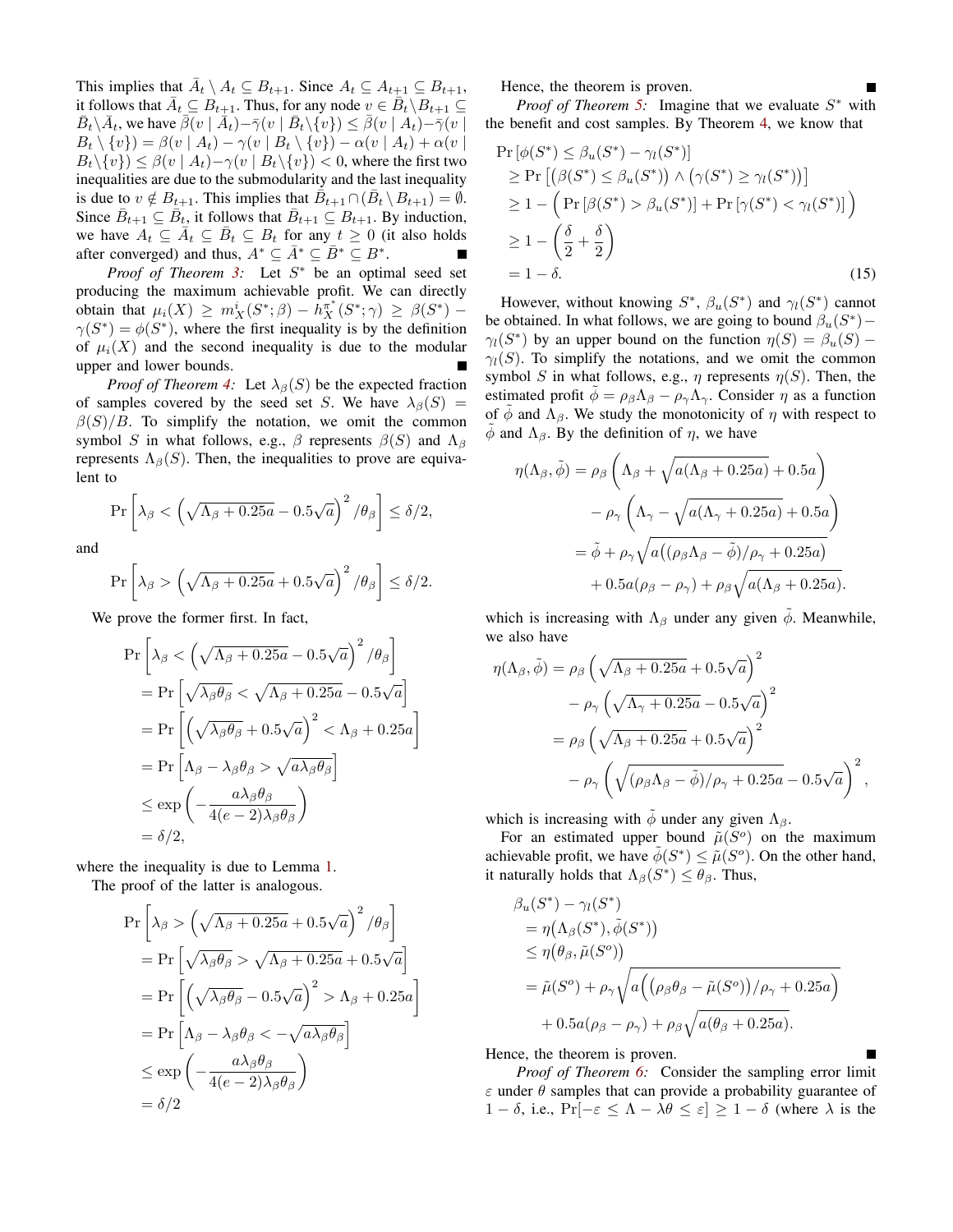This implies that  $\bar{A}_t \setminus A_t \subseteq B_{t+1}$ . Since  $A_t \subseteq A_{t+1} \subseteq B_{t+1}$ , it follows that  $\bar{A}_t \subseteq B_{t+1}$ . Thus, for any node  $v \in \bar{B}_t \setminus B_{t+1} \subseteq$  $\bar{B}_t \setminus \bar{A}_t$ , we have  $\bar{\beta}(v \mid \bar{A}_t) - \bar{\gamma}(v \mid \bar{B}_t \setminus \{v\}) \leq \bar{\beta}(v \mid A_t) - \bar{\gamma}(v \mid \bar{B}_t \setminus \{v\})$  $B_t \setminus \{v\} = \beta(v \mid A_t) - \gamma(v \mid B_t \setminus \{v\}) - \alpha(v \mid A_t) + \alpha(v \mid A_t)$  $B_t \setminus \{v\} \leq \beta(v \mid A_t) - \gamma(v \mid B_t \setminus \{v\}) < 0$ , where the first two inequalities are due to the submodularity and the last inequality is due to  $v \notin B_{t+1}$ . This implies that  $\overline{B}_{t+1} \cap (\overline{B}_t \setminus B_{t+1}) = \emptyset$ . Since  $\bar{B}_{t+1} \subseteq \bar{B}_t$ , it follows that  $\bar{B}_{t+1} \subseteq B_{t+1}$ . By induction, we have  $A_t \subseteq \overline{A}_t \subseteq \overline{B}_t \subseteq B_t$  for any  $t \ge 0$  (it also holds after converged) and thus,  $A^* \subseteq \overline{A}^* \subseteq \overline{B}^* \subseteq B^*$ .

*Proof of Theorem [3:](#page-5-3)* Let  $S^*$  be an optimal seed set producing the maximum achievable profit. We can directly obtain that  $\mu_i(X) \geq m_X^i(S^*; \beta) - h_X^{\pi^*}(S^*; \gamma) \geq \beta(S^*) \gamma(S^*) = \phi(S^*)$ , where the first inequality is by the definition of  $\mu_i(X)$  and the second inequality is due to the modular upper and lower bounds.

*Proof of Theorem [4:](#page-5-1)* Let  $\lambda_{\beta}(S)$  be the expected fraction of samples covered by the seed set S. We have  $\lambda_{\beta}(S)$  =  $\beta(S)/B$ . To simplify the notation, we omit the common symbol S in what follows, e.g.,  $\beta$  represents  $\beta(S)$  and  $\Lambda_{\beta}$ represents  $\Lambda_{\beta}(S)$ . Then, the inequalities to prove are equivalent to

 $\Pr\left[\lambda_\beta<\left(\sqrt{\Lambda_\beta+0.25a}-0.5\sqrt{a}\right)^2/\theta_\beta\right]\leq \delta/2,$ 

and

$$
\Pr\left[\lambda_{\beta} > \left(\sqrt{\Lambda_{\beta} + 0.25a} + 0.5\sqrt{a}\right)^2/\theta_{\beta}\right] \le \delta/2.
$$

We prove the former first. In fact,

$$
\Pr\left[\lambda_{\beta} < \left(\sqrt{\Lambda_{\beta} + 0.25a} - 0.5\sqrt{a}\right)^{2} / \theta_{\beta}\right]
$$
\n
$$
= \Pr\left[\sqrt{\lambda_{\beta}\theta_{\beta}} < \sqrt{\Lambda_{\beta} + 0.25a} - 0.5\sqrt{a}\right]
$$
\n
$$
= \Pr\left[\left(\sqrt{\lambda_{\beta}\theta_{\beta}} + 0.5\sqrt{a}\right)^{2} < \Lambda_{\beta} + 0.25a\right]
$$
\n
$$
= \Pr\left[\Lambda_{\beta} - \lambda_{\beta}\theta_{\beta} > \sqrt{a\lambda_{\beta}\theta_{\beta}}\right]
$$
\n
$$
\leq \exp\left(-\frac{a\lambda_{\beta}\theta_{\beta}}{4(e-2)\lambda_{\beta}\theta_{\beta}}\right)
$$
\n
$$
= \delta/2,
$$

where the inequality is due to Lemma [1.](#page-5-0)

The proof of the latter is analogous.

$$
\Pr\left[\lambda_{\beta} > \left(\sqrt{\Lambda_{\beta} + 0.25a} + 0.5\sqrt{a}\right)^{2} / \theta_{\beta}\right]
$$
  
= 
$$
\Pr\left[\sqrt{\lambda_{\beta}\theta_{\beta}} > \sqrt{\Lambda_{\beta} + 0.25a} + 0.5\sqrt{a}\right]
$$
  
= 
$$
\Pr\left[\left(\sqrt{\lambda_{\beta}\theta_{\beta}} - 0.5\sqrt{a}\right)^{2} > \Lambda_{\beta} + 0.25a\right]
$$
  
= 
$$
\Pr\left[\Lambda_{\beta} - \lambda_{\beta}\theta_{\beta} < -\sqrt{a\lambda_{\beta}\theta_{\beta}}\right]
$$
  

$$
\leq \exp\left(-\frac{a\lambda_{\beta}\theta_{\beta}}{4(e-2)\lambda_{\beta}\theta_{\beta}}\right)
$$
  
= 
$$
\delta/2
$$

Hence, the theorem is proven.

*Proof of Theorem [5:](#page-5-2)* Imagine that we evaluate  $S^*$  with the benefit and cost samples. By Theorem [4,](#page-5-1) we know that

$$
\Pr\left[\phi(S^*) \leq \beta_u(S^*) - \gamma_l(S^*)\right] \\
\geq \Pr\left[\left(\beta(S^*) \leq \beta_u(S^*)\right) \land \left(\gamma(S^*) \geq \gamma_l(S^*)\right)\right] \\
\geq 1 - \left(\Pr\left[\beta(S^*) > \beta_u(S^*)\right] + \Pr\left[\gamma(S^*) < \gamma_l(S^*)\right]\right) \\
\geq 1 - \left(\frac{\delta}{2} + \frac{\delta}{2}\right) \\
= 1 - \delta.
$$
\n(15)

However, without knowing  $S^*$ ,  $\beta_u(S^*)$  and  $\gamma_l(S^*)$  cannot be obtained. In what follows, we are going to bound  $\beta_u(S^*)$  –  $\gamma_l(S^*)$  by an upper bound on the function  $\eta(S) = \beta_u(S)$  –  $\gamma_l(S)$ . To simplify the notations, and we omit the common symbol S in what follows, e.g.,  $\eta$  represents  $\eta(S)$ . Then, the estimated profit  $\phi = \rho_\beta \Lambda_\beta - \rho_\gamma \Lambda_\gamma$ . Consider  $\eta$  as a function of  $\phi$  and  $\Lambda_{\beta}$ . We study the monotonicity of  $\eta$  with respect to  $\phi$  and  $\Lambda_{\beta}$ . By the definition of  $\eta$ , we have

$$
\eta(\Lambda_{\beta}, \tilde{\phi}) = \rho_{\beta} \left( \Lambda_{\beta} + \sqrt{a(\Lambda_{\beta} + 0.25a)} + 0.5a \right)
$$

$$
- \rho_{\gamma} \left( \Lambda_{\gamma} - \sqrt{a(\Lambda_{\gamma} + 0.25a)} + 0.5a \right)
$$

$$
= \tilde{\phi} + \rho_{\gamma} \sqrt{a((\rho_{\beta}\Lambda_{\beta} - \tilde{\phi})/\rho_{\gamma} + 0.25a)}
$$

$$
+ 0.5a(\rho_{\beta} - \rho_{\gamma}) + \rho_{\beta} \sqrt{a(\Lambda_{\beta} + 0.25a)}.
$$

which is increasing with  $\Lambda_{\beta}$  under any given  $\tilde{\phi}$ . Meanwhile, we also have

$$
\eta(\Lambda_{\beta}, \tilde{\phi}) = \rho_{\beta} \left( \sqrt{\Lambda_{\beta} + 0.25a} + 0.5\sqrt{a} \right)^{2}
$$

$$
- \rho_{\gamma} \left( \sqrt{\Lambda_{\gamma} + 0.25a} - 0.5\sqrt{a} \right)^{2}
$$

$$
= \rho_{\beta} \left( \sqrt{\Lambda_{\beta} + 0.25a} + 0.5\sqrt{a} \right)^{2}
$$

$$
- \rho_{\gamma} \left( \sqrt{(\rho_{\beta}\Lambda_{\beta} - \tilde{\phi})/\rho_{\gamma} + 0.25a} - 0.5\sqrt{a} \right)^{2},
$$

which is increasing with  $\phi$  under any given  $\Lambda_{\beta}$ .

For an estimated upper bound  $\tilde{\mu}(S^o)$  on the maximum achievable profit, we have  $\tilde{\phi}(S^*) \leq \tilde{\mu}(S^o)$ . On the other hand, it naturally holds that  $\Lambda_{\beta}(S^*) \leq \theta_{\beta}$ . Thus,

$$
\beta_u(S^*) - \gamma_l(S^*)
$$
  
=  $\eta(\Lambda_\beta(S^*), \tilde{\phi}(S^*))$   

$$
\leq \eta(\theta_\beta, \tilde{\mu}(S^o))
$$
  
=  $\tilde{\mu}(S^o) + \rho_\gamma \sqrt{a\left((\rho_\beta \theta_\beta - \tilde{\mu}(S^o))/\rho_\gamma + 0.25a\right)}$   
+  $0.5a(\rho_\beta - \rho_\gamma) + \rho_\beta \sqrt{a(\theta_\beta + 0.25a)}$ .

Hence, the theorem is proven.

*Proof of Theorem [6:](#page-6-1)* Consider the sampling error limit  $\varepsilon$  under  $\theta$  samples that can provide a probability guarantee of 1 − δ, i.e.,  $Pr[-\varepsilon \leq \Lambda - \lambda \theta \leq \varepsilon] \geq 1 - \delta$  (where  $\lambda$  is the